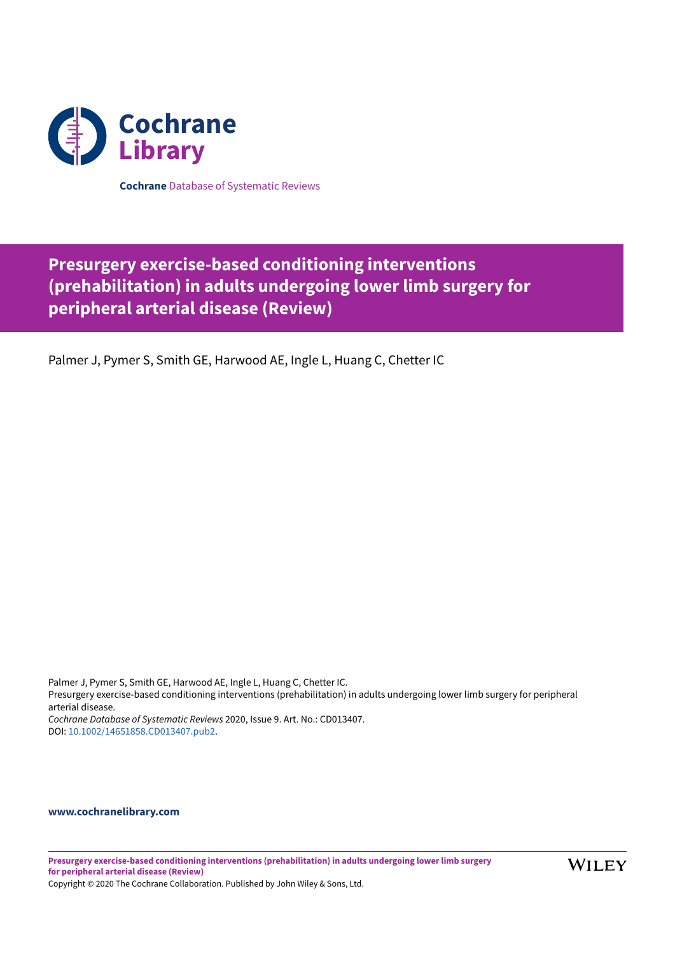

**Cochrane** Database of Systematic Reviews

# **Presurgery exercise-based conditioning interventions (prehabilitation) in adults undergoing lower limb surgery for peripheral arterial disease (Review)**

Palmer J, Pymer S, Smith GE, Harwood AE, Ingle L, Huang C, Chetter IC

Palmer J, Pymer S, Smith GE, Harwood AE, Ingle L, Huang C, Chetter IC. Presurgery exercise-based conditioning interventions (prehabilitation) in adults undergoing lower limb surgery for peripheral arterial disease. *Cochrane Database of Systematic Reviews* 2020, Issue 9. Art. No.: CD013407. DOI: [10.1002/14651858.CD013407.pub2.](https://doi.org/10.1002%2F14651858.CD013407.pub2)

## **[www.cochranelibrary.com](https://www.cochranelibrary.com)**

**Presurgery exercise-based conditioning interventions (prehabilitation) in adults undergoing lower limb surgery for peripheral arterial disease (Review)**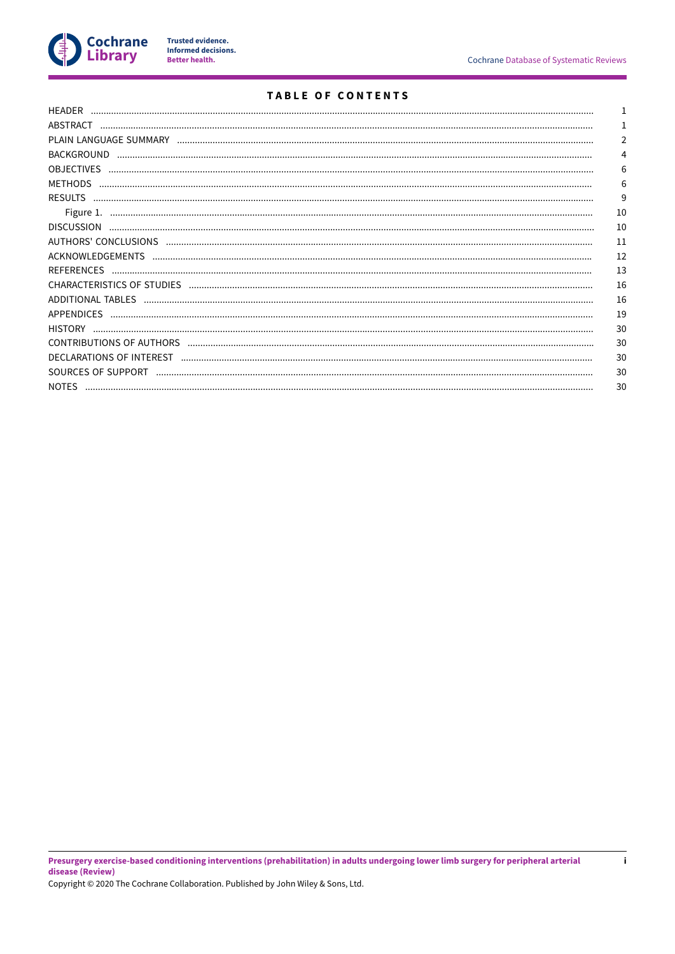

# TABLE OF CONTENTS

| HEADER             |    |
|--------------------|----|
| ABSTRACT           |    |
|                    | 2  |
| <b>BACKGROUND</b>  | 4  |
| <b>OBJECTIVES</b>  | 6  |
| <b>METHODS</b>     | 6  |
| <b>RESULTS</b>     | 9  |
| Figure 1.          | 10 |
| <b>DISCUSSION</b>  | 10 |
|                    | 11 |
|                    | 12 |
|                    | 13 |
|                    | 16 |
|                    | 16 |
| APPENDICES         | 19 |
| <b>HISTORY</b>     | 30 |
|                    | 30 |
|                    | 30 |
| SOURCES OF SUPPORT | 30 |
| <b>NOTES</b>       | 30 |
|                    |    |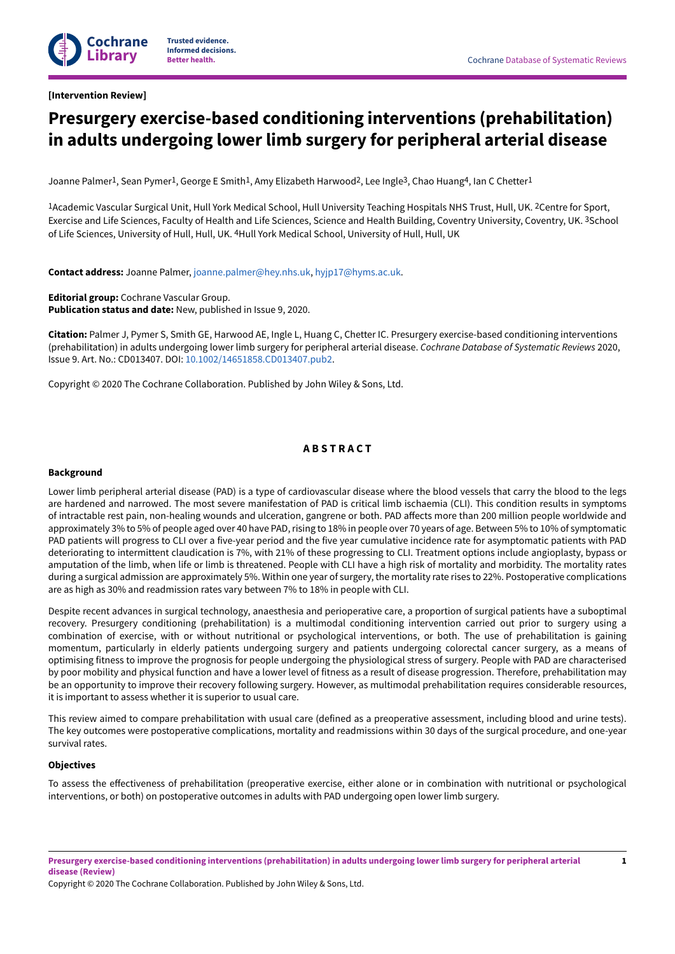<span id="page-2-0"></span>**[Intervention Review]**

# **Presurgery exercise-based conditioning interventions (prehabilitation) in adults undergoing lower limb surgery for peripheral arterial disease**

Joanne Palmer<sup>1</sup>, Sean Pymer<sup>1</sup>, George E Smith<sup>1</sup>, Amy Elizabeth Harwood<sup>2</sup>, Lee Ingle<sup>3</sup>, Chao Huang<sup>4</sup>, Ian C Chetter<sup>1</sup>

<sup>1</sup>Academic Vascular Surgical Unit, Hull York Medical School, Hull University Teaching Hospitals NHS Trust, Hull, UK. <sup>2</sup>Centre for Sport, Exercise and Life Sciences, Faculty of Health and Life Sciences, Science and Health Building, Coventry University, Coventry, UK. <sup>3</sup>School of Life Sciences, University of Hull, Hull, UK. <sup>4</sup>Hull York Medical School, University of Hull, Hull, UK

**Contact address:** Joanne Palmer, [joanne.palmer@hey.nhs.uk,](mailto:joanne.palmer@hey.nhs.uk) [hyjp17@hyms.ac.uk.](mailto:hyjp17@hyms.ac.uk)

**Editorial group:** Cochrane Vascular Group. **Publication status and date:** New, published in Issue 9, 2020.

**Citation:** Palmer J, Pymer S, Smith GE, Harwood AE, Ingle L, Huang C, Chetter IC. Presurgery exercise-based conditioning interventions (prehabilitation) in adults undergoing lower limb surgery for peripheral arterial disease. *Cochrane Database of Systematic Reviews* 2020, Issue 9. Art. No.: CD013407. DOI: [10.1002/14651858.CD013407.pub2.](https://doi.org/10.1002%2F14651858.CD013407.pub2)

Copyright © 2020 The Cochrane Collaboration. Published by John Wiley & Sons, Ltd.

# **A B S T R A C T**

## <span id="page-2-1"></span>**Background**

Lower limb peripheral arterial disease (PAD) is a type of cardiovascular disease where the blood vessels that carry the blood to the legs are hardened and narrowed. The most severe manifestation of PAD is critical limb ischaemia (CLI). This condition results in symptoms of intractable rest pain, non-healing wounds and ulceration, gangrene or both. PAD aHects more than 200 million people worldwide and approximately 3% to 5% of people aged over 40 have PAD, rising to 18% in people over 70 years of age. Between 5% to 10% of symptomatic PAD patients will progress to CLI over a five-year period and the five year cumulative incidence rate for asymptomatic patients with PAD deteriorating to intermittent claudication is 7%, with 21% of these progressing to CLI. Treatment options include angioplasty, bypass or amputation of the limb, when life or limb is threatened. People with CLI have a high risk of mortality and morbidity. The mortality rates during a surgical admission are approximately 5%. Within one year of surgery, the mortality rate rises to 22%. Postoperative complications are as high as 30% and readmission rates vary between 7% to 18% in people with CLI.

Despite recent advances in surgical technology, anaesthesia and perioperative care, a proportion of surgical patients have a suboptimal recovery. Presurgery conditioning (prehabilitation) is a multimodal conditioning intervention carried out prior to surgery using a combination of exercise, with or without nutritional or psychological interventions, or both. The use of prehabilitation is gaining momentum, particularly in elderly patients undergoing surgery and patients undergoing colorectal cancer surgery, as a means of optimising fitness to improve the prognosis for people undergoing the physiological stress of surgery. People with PAD are characterised by poor mobility and physical function and have a lower level of fitness as a result of disease progression. Therefore, prehabilitation may be an opportunity to improve their recovery following surgery. However, as multimodal prehabilitation requires considerable resources, it is important to assess whether it is superior to usual care.

This review aimed to compare prehabilitation with usual care (defined as a preoperative assessment, including blood and urine tests). The key outcomes were postoperative complications, mortality and readmissions within 30 days of the surgical procedure, and one-year survival rates.

## **Objectives**

To assess the eHectiveness of prehabilitation (preoperative exercise, either alone or in combination with nutritional or psychological interventions, or both) on postoperative outcomes in adults with PAD undergoing open lower limb surgery.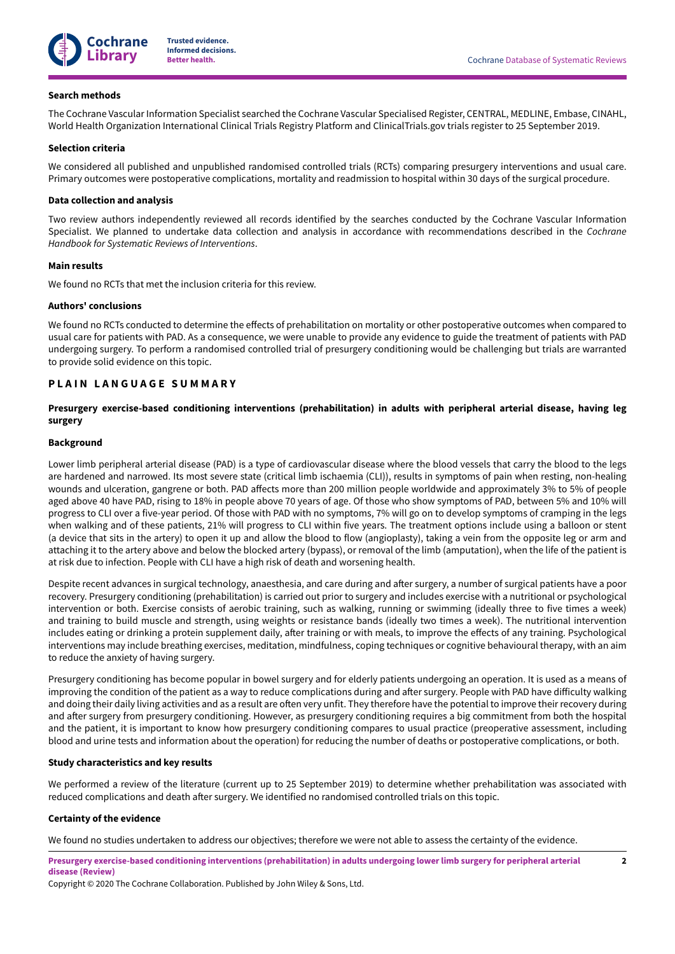

#### **Search methods**

The Cochrane Vascular Information Specialist searched the Cochrane Vascular Specialised Register, CENTRAL, MEDLINE, Embase, CINAHL, World Health Organization International Clinical Trials Registry Platform and ClinicalTrials.gov trials register to 25 September 2019.

#### **Selection criteria**

We considered all published and unpublished randomised controlled trials (RCTs) comparing presurgery interventions and usual care. Primary outcomes were postoperative complications, mortality and readmission to hospital within 30 days of the surgical procedure.

#### **Data collection and analysis**

Two review authors independently reviewed all records identified by the searches conducted by the Cochrane Vascular Information Specialist. We planned to undertake data collection and analysis in accordance with recommendations described in the *Cochrane Handbook for Systematic Reviews of Interventions*.

## **Main results**

We found no RCTs that met the inclusion criteria for this review.

#### **Authors' conclusions**

We found no RCTs conducted to determine the effects of prehabilitation on mortality or other postoperative outcomes when compared to usual care for patients with PAD. As a consequence, we were unable to provide any evidence to guide the treatment of patients with PAD undergoing surgery. To perform a randomised controlled trial of presurgery conditioning would be challenging but trials are warranted to provide solid evidence on this topic.

## <span id="page-3-0"></span>**P L A I N L A N G U A G E S U M M A R Y**

## **Presurgery exercise-based conditioning interventions (prehabilitation) in adults with peripheral arterial disease, having leg surgery**

## **Background**

Lower limb peripheral arterial disease (PAD) is a type of cardiovascular disease where the blood vessels that carry the blood to the legs are hardened and narrowed. Its most severe state (critical limb ischaemia (CLI)), results in symptoms of pain when resting, non-healing wounds and ulceration, gangrene or both. PAD affects more than 200 million people worldwide and approximately 3% to 5% of people aged above 40 have PAD, rising to 18% in people above 70 years of age. Of those who show symptoms of PAD, between 5% and 10% will progress to CLI over a five-year period. Of those with PAD with no symptoms, 7% will go on to develop symptoms of cramping in the legs when walking and of these patients, 21% will progress to CLI within five years. The treatment options include using a balloon or stent (a device that sits in the artery) to open it up and allow the blood to flow (angioplasty), taking a vein from the opposite leg or arm and attaching it to the artery above and below the blocked artery (bypass), or removal of the limb (amputation), when the life of the patient is at risk due to infection. People with CLI have a high risk of death and worsening health.

Despite recent advances in surgical technology, anaesthesia, and care during and after surgery, a number of surgical patients have a poor recovery. Presurgery conditioning (prehabilitation) is carried out prior to surgery and includes exercise with a nutritional or psychological intervention or both. Exercise consists of aerobic training, such as walking, running or swimming (ideally three to five times a week) and training to build muscle and strength, using weights or resistance bands (ideally two times a week). The nutritional intervention includes eating or drinking a protein supplement daily, after training or with meals, to improve the effects of any training. Psychological interventions may include breathing exercises, meditation, mindfulness, coping techniques or cognitive behavioural therapy, with an aim to reduce the anxiety of having surgery.

Presurgery conditioning has become popular in bowel surgery and for elderly patients undergoing an operation. It is used as a means of improving the condition of the patient as a way to reduce complications during and after surgery. People with PAD have difficulty walking and doing their daily living activities and as a result are often very unfit. They therefore have the potential to improve their recovery during and after surgery from presurgery conditioning. However, as presurgery conditioning requires a big commitment from both the hospital and the patient, it is important to know how presurgery conditioning compares to usual practice (preoperative assessment, including blood and urine tests and information about the operation) for reducing the number of deaths or postoperative complications, or both.

#### **Study characteristics and key results**

We performed a review of the literature (current up to 25 September 2019) to determine whether prehabilitation was associated with reduced complications and death after surgery. We identified no randomised controlled trials on this topic.

#### **Certainty of the evidence**

We found no studies undertaken to address our objectives; therefore we were not able to assess the certainty of the evidence.

Presurgery exercise-based conditioning interventions (prehabilitation) in adults undergoing lower limb surgery for peripheral arterial **disease (Review)**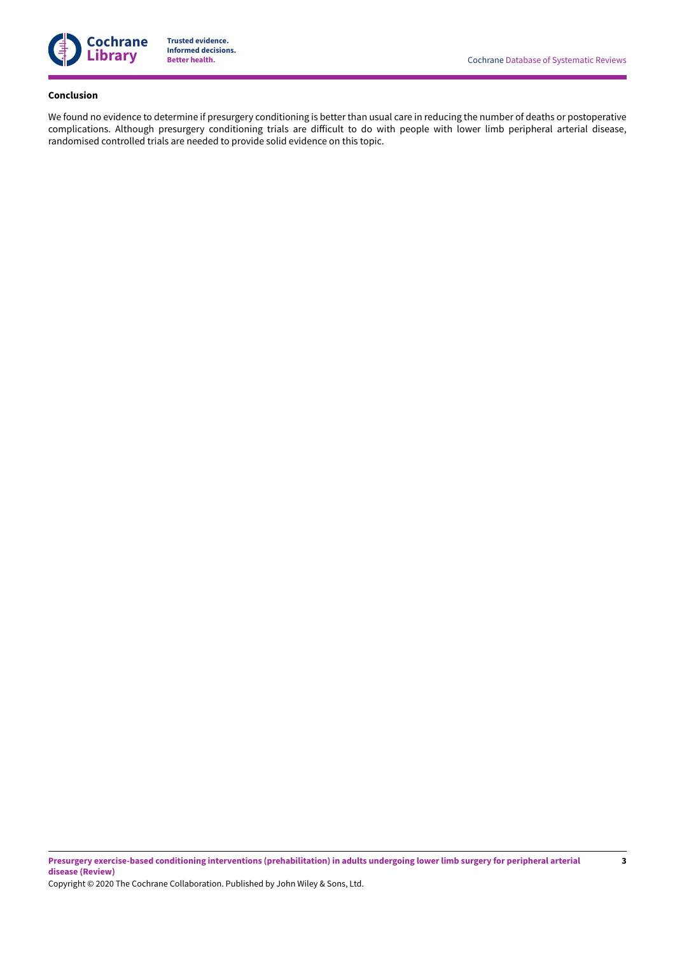

#### **Conclusion**

We found no evidence to determine if presurgery conditioning is better than usual care in reducing the number of deaths or postoperative complications. Although presurgery conditioning trials are difficult to do with people with lower limb peripheral arterial disease, randomised controlled trials are needed to provide solid evidence on this topic.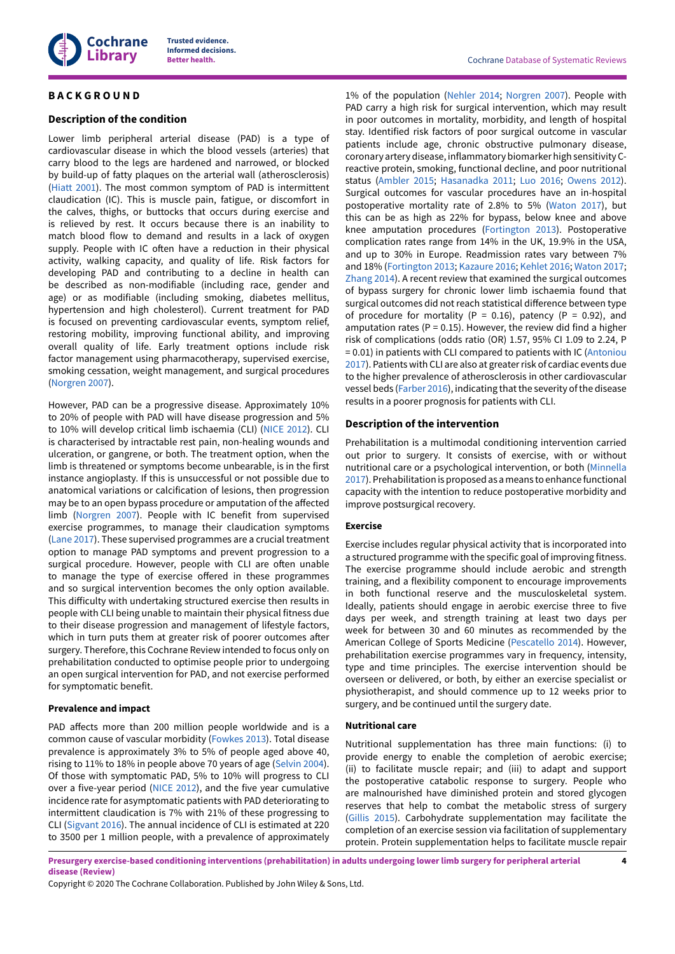

## <span id="page-5-0"></span>**B A C K G R O U N D**

## **Description of the condition**

Lower limb peripheral arterial disease (PAD) is a type of cardiovascular disease in which the blood vessels (arteries) that carry blood to the legs are hardened and narrowed, or blocked by build-up of fatty plaques on the arterial wall (atherosclerosis) [\(Hiatt](#page-15-0) 2001). The most common symptom of PAD is intermittent claudication (IC). This is muscle pain, fatigue, or discomfort in the calves, thighs, or buttocks that occurs during exercise and is relieved by rest. It occurs because there is an inability to match blood flow to demand and results in a lack of oxygen supply. People with IC often have a reduction in their physical activity, walking capacity, and quality of life. Risk factors for developing PAD and contributing to a decline in health can be described as non-modifiable (including race, gender and age) or as modifiable (including smoking, diabetes mellitus, hypertension and high cholesterol). Current treatment for PAD is focused on preventing cardiovascular events, symptom relief, restoring mobility, improving functional ability, and improving overall quality of life. Early treatment options include risk factor management using pharmacotherapy, supervised exercise, smoking cessation, weight management, and surgical procedures [\(Norgren](#page-16-0) 2007).

However, PAD can be a progressive disease. Approximately 10% to 20% of people with PAD will have disease progression and 5% to 10% will develop critical limb ischaemia (CLI) [\(NICE 2012](#page-16-1)). CLI is characterised by intractable rest pain, non-healing wounds and ulceration, or gangrene, or both. The treatment option, when the limb is threatened or symptoms become unbearable, is in the first instance angioplasty. If this is unsuccessful or not possible due to anatomical variations or calcification of lesions, then progression may be to an open bypass procedure or amputation of the affected limb [\(Norgren](#page-16-0) 2007). People with IC benefit from supervised exercise programmes, to manage their claudication symptoms [\(Lane 2017](#page-15-1)). These supervised programmes are a crucial treatment option to manage PAD symptoms and prevent progression to a surgical procedure. However, people with CLI are often unable to manage the type of exercise offered in these programmes and so surgical intervention becomes the only option available. This difficulty with undertaking structured exercise then results in people with CLI being unable to maintain their physical fitness due to their disease progression and management of lifestyle factors, which in turn puts them at greater risk of poorer outcomes after surgery. Therefore, this Cochrane Review intended to focus only on prehabilitation conducted to optimise people prior to undergoing an open surgical intervention for PAD, and not exercise performed for symptomatic benefit.

#### **Prevalence and impact**

PAD affects more than 200 million people worldwide and is a common cause of vascular morbidity ([Fowkes](#page-15-2) 2013). Total disease prevalence is approximately 3% to 5% of people aged above 40, rising to 11% to 18% in people above 70 years of age ([Selvin 2004\)](#page-16-2). Of those with symptomatic PAD, 5% to 10% will progress to CLI over a five-year period ([NICE 2012](#page-16-1)), and the five year cumulative incidence rate for asymptomatic patients with PAD deteriorating to intermittent claudication is 7% with 21% of these progressing to CLI [\(Sigvant](#page-16-3) 2016). The annual incidence of CLI is estimated at 220 to 3500 per 1 million people, with a prevalence of approximately

1% of the population [\(Nehler 2014;](#page-16-4) [Norgren](#page-16-0) 2007). People with PAD carry a high risk for surgical intervention, which may result in poor outcomes in mortality, morbidity, and length of hospital stay. Identified risk factors of poor surgical outcome in vascular patients include age, chronic obstructive pulmonary disease, coronary arterydisease, inflammatorybiomarker high sensitivityCreactive protein, smoking, functional decline, and poor nutritional status ([Ambler 2015;](#page-14-1) [Hasanadka](#page-15-3) 2011; Luo [2016](#page-16-5); [Owens](#page-16-6) 2012). Surgical outcomes for vascular procedures have an in-hospital postoperative mortality rate of 2.8% to 5% [\(Waton](#page-17-2) 2017), but this can be as high as 22% for bypass, below knee and above knee amputation procedures ([Fortington](#page-15-4) 2013). Postoperative complication rates range from 14% in the UK, 19.9% in the USA, and up to 30% in Europe. Readmission rates vary between 7% and 18% ([Fortington](#page-15-4) 2013; [Kazaure](#page-15-5) 2016; [Kehlet](#page-15-6) 2016; [Waton](#page-17-2) 2017; [Zhang 2014](#page-17-3)). A recent review that examined the surgical outcomes of bypass surgery for chronic lower limb ischaemia found that surgical outcomes did not reach statistical difference between type of procedure for mortality (P = 0.16), patency (P = 0.92), and amputation rates (P = 0.15). However, the review did find a higher risk of complications (odds ratio (OR) 1.57, 95% CI 1.09 to 2.24, P = 0.01) in patients with CLI compared to patients with IC [\(Antoniou](#page-14-2) [2017\)](#page-14-2). Patients with CLI are also at greater risk of cardiac events due to the higher prevalence of atherosclerosis in other cardiovascular vessel beds [\(Farber](#page-15-7) 2016), indicating that the severity of the disease results in a poorer prognosis for patients with CLI.

## **Description of the intervention**

Prehabilitation is a multimodal conditioning intervention carried out prior to surgery. It consists of exercise, with or without nutritional care or a psychological intervention, or both ([Minnella](#page-16-7) [2017\)](#page-16-7). Prehabilitation is proposed as a means to enhance functional capacity with the intention to reduce postoperative morbidity and improve postsurgical recovery.

#### **Exercise**

Exercise includes regular physical activity that is incorporated into a structured programme with the specific goal of improving fitness. The exercise programme should include aerobic and strength training, and a flexibility component to encourage improvements in both functional reserve and the musculoskeletal system. Ideally, patients should engage in aerobic exercise three to five days per week, and strength training at least two days per week for between 30 and 60 minutes as recommended by the American College of Sports Medicine ([Pescatello](#page-16-8) 2014). However, prehabilitation exercise programmes vary in frequency, intensity, type and time principles. The exercise intervention should be overseen or delivered, or both, by either an exercise specialist or physiotherapist, and should commence up to 12 weeks prior to surgery, and be continued until the surgery date.

#### **Nutritional care**

Nutritional supplementation has three main functions: (i) to provide energy to enable the completion of aerobic exercise; (ii) to facilitate muscle repair; and (iii) to adapt and support the postoperative catabolic response to surgery. People who are malnourished have diminished protein and stored glycogen reserves that help to combat the metabolic stress of surgery [\(Gillis 2015](#page-15-8)). Carbohydrate supplementation may facilitate the completion of an exercise session via facilitation of supplementary protein. Protein supplementation helps to facilitate muscle repair

Presurgery exercise-based conditioning interventions (prehabilitation) in adults undergoing lower limb surgery for peripheral arterial **disease (Review)**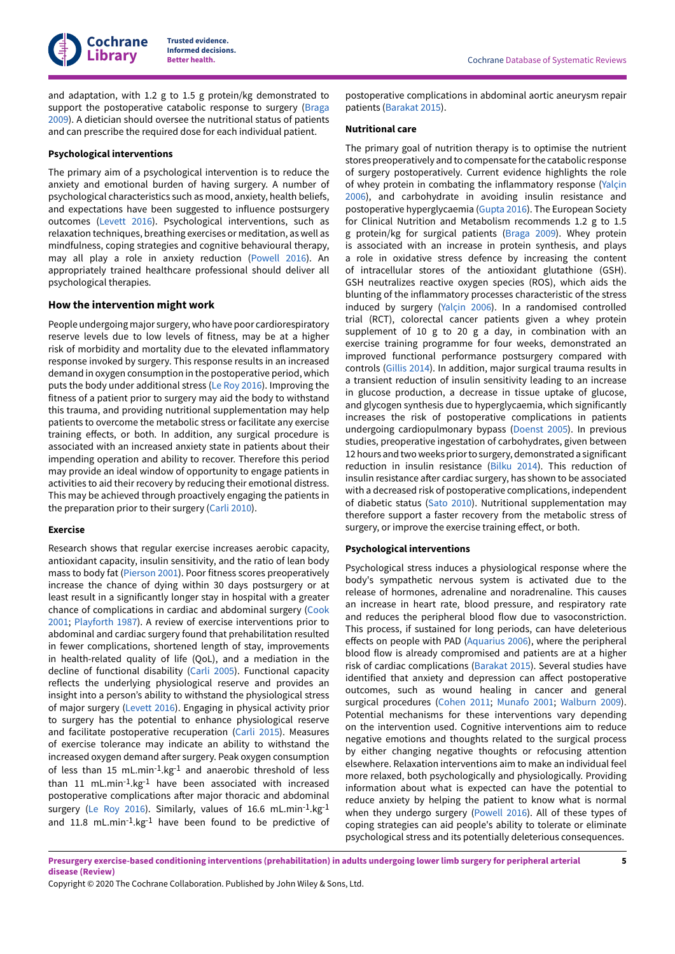and adaptation, with 1.2 g to 1.5 g protein/kg demonstrated to support the postoperative catabolic response to surgery ([Braga](#page-14-3) [2009](#page-14-3)). A dietician should oversee the nutritional status of patients and can prescribe the required dose for each individual patient.

## **Psychological interventions**

The primary aim of a psychological intervention is to reduce the anxiety and emotional burden of having surgery. A number of psychological characteristics such as mood, anxiety, health beliefs, and expectations have been suggested to influence postsurgery outcomes ([Levett](#page-15-9) 2016). Psychological interventions, such as relaxation techniques, breathing exercises or meditation, as well as mindfulness, coping strategies and cognitive behavioural therapy, may all play a role in anxiety reduction [\(Powell](#page-16-9) 2016). An appropriately trained healthcare professional should deliver all psychological therapies.

## **How the intervention might work**

People undergoing major surgery, who have poor cardiorespiratory reserve levels due to low levels of fitness, may be at a higher risk of morbidity and mortality due to the elevated inflammatory response invoked by surgery. This response results in an increased demand in oxygen consumption in the postoperative period, which puts the body under additional stress (Le Roy [2016](#page-15-10)). Improving the fitness of a patient prior to surgery may aid the body to withstand this trauma, and providing nutritional supplementation may help patients to overcome the metabolic stress or facilitate any exercise training effects, or both. In addition, any surgical procedure is associated with an increased anxiety state in patients about their impending operation and ability to recover. Therefore this period may provide an ideal window of opportunity to engage patients in activities to aid their recovery by reducing their emotional distress. This may be achieved through proactively engaging the patients in the preparation prior to their surgery ([Carli 2010\)](#page-14-4).

#### **Exercise**

Research shows that regular exercise increases aerobic capacity, antioxidant capacity, insulin sensitivity, and the ratio of lean body mass to body fat [\(Pierson](#page-16-10) 2001). Poor fitness scores preoperatively increase the chance of dying within 30 days postsurgery or at least result in a significantly longer stay in hospital with a greater chance of complications in cardiac and abdominal surgery [\(Cook](#page-14-5) [2001](#page-14-5); [Playforth](#page-16-11) 1987). A review of exercise interventions prior to abdominal and cardiac surgery found that prehabilitation resulted in fewer complications, shortened length of stay, improvements in health-related quality of life (QoL), and a mediation in the decline of functional disability ([Carli 2005\)](#page-14-6). Functional capacity reflects the underlying physiological reserve and provides an insight into a person's ability to withstand the physiological stress of major surgery ([Levett](#page-15-9) 2016). Engaging in physical activity prior to surgery has the potential to enhance physiological reserve and facilitate postoperative recuperation ([Carli 2015\)](#page-14-7). Measures of exercise tolerance may indicate an ability to withstand the increased oxygen demand after surgery. Peak oxygen consumption of less than 15 mL.min-1.kg-1 and anaerobic threshold of less than 11 mL.min-1.kg-1 have been associated with increased postoperative complications after major thoracic and abdominal surgery (Le Roy [2016\)](#page-15-10). Similarly, values of 16.6 mL.min<sup>-1</sup>.kg<sup>-1</sup> and 11.8 mL.min-1.kg-1 have been found to be predictive of

postoperative complications in abdominal aortic aneurysm repair patients [\(Barakat](#page-14-8) 2015).

#### **Nutritional care**

The primary goal of nutrition therapy is to optimise the nutrient stores preoperatively and to compensate forthe catabolic response of surgery postoperatively. Current evidence highlights the role of whey protein in combating the inflammatory response [\(Yalçin](#page-17-4) [2006\)](#page-17-4), and carbohydrate in avoiding insulin resistance and postoperative hyperglycaemia ([Gupta](#page-15-11) 2016). The European Society for Clinical Nutrition and Metabolism recommends 1.2 g to 1.5 g protein/kg for surgical patients ([Braga](#page-14-3) 2009). Whey protein is associated with an increase in protein synthesis, and plays a role in oxidative stress defence by increasing the content of intracellular stores of the antioxidant glutathione (GSH). GSH neutralizes reactive oxygen species (ROS), which aids the blunting of the inflammatory processes characteristic of the stress induced by surgery [\(Yalçin](#page-17-4) 2006). In a randomised controlled trial (RCT), colorectal cancer patients given a whey protein supplement of 10 g to 20 g a day, in combination with an exercise training programme for four weeks, demonstrated an improved functional performance postsurgery compared with controls [\(Gillis 2014](#page-15-12)). In addition, major surgical trauma results in a transient reduction of insulin sensitivity leading to an increase in glucose production, a decrease in tissue uptake of glucose, and glycogen synthesis due to hyperglycaemia, which significantly increases the risk of postoperative complications in patients undergoing cardiopulmonary bypass ([Doenst](#page-14-9) 2005). In previous studies, preoperative ingestation of carbohydrates, given between 12 hours and two weeks prior to surgery, demonstrated a significant reduction in insulin resistance ([Bilku](#page-14-10) 2014). This reduction of insulin resistance after cardiac surgery, has shown to be associated with a decreased risk of postoperative complications, independent of diabetic status (Sato [2010](#page-16-12)). Nutritional supplementation may therefore support a faster recovery from the metabolic stress of surgery, or improve the exercise training effect, or both.

## **Psychological interventions**

Psychological stress induces a physiological response where the body's sympathetic nervous system is activated due to the release of hormones, adrenaline and noradrenaline. This causes an increase in heart rate, blood pressure, and respiratory rate and reduces the peripheral blood flow due to vasoconstriction. This process, if sustained for long periods, can have deleterious effects on people with PAD [\(Aquarius 2006\)](#page-14-11), where the peripheral blood flow is already compromised and patients are at a higher risk of cardiac complications ([Barakat](#page-14-8) 2015). Several studies have identified that anxiety and depression can affect postoperative outcomes, such as wound healing in cancer and general surgical procedures ([Cohen 2011;](#page-14-12) [Munafo](#page-16-13) 2001; [Walburn](#page-17-5) 2009). Potential mechanisms for these interventions vary depending on the intervention used. Cognitive interventions aim to reduce negative emotions and thoughts related to the surgical process by either changing negative thoughts or refocusing attention elsewhere. Relaxation interventions aim to make an individual feel more relaxed, both psychologically and physiologically. Providing information about what is expected can have the potential to reduce anxiety by helping the patient to know what is normal when they undergo surgery [\(Powell](#page-16-9) 2016). All of these types of coping strategies can aid people's ability to tolerate or eliminate psychological stress and its potentially deleterious consequences.

Presurgery exercise-based conditioning interventions (prehabilitation) in adults undergoing lower limb surgery for peripheral arterial **disease (Review)**

Copyright © 2020 The Cochrane Collaboration. Published by John Wiley & Sons, Ltd.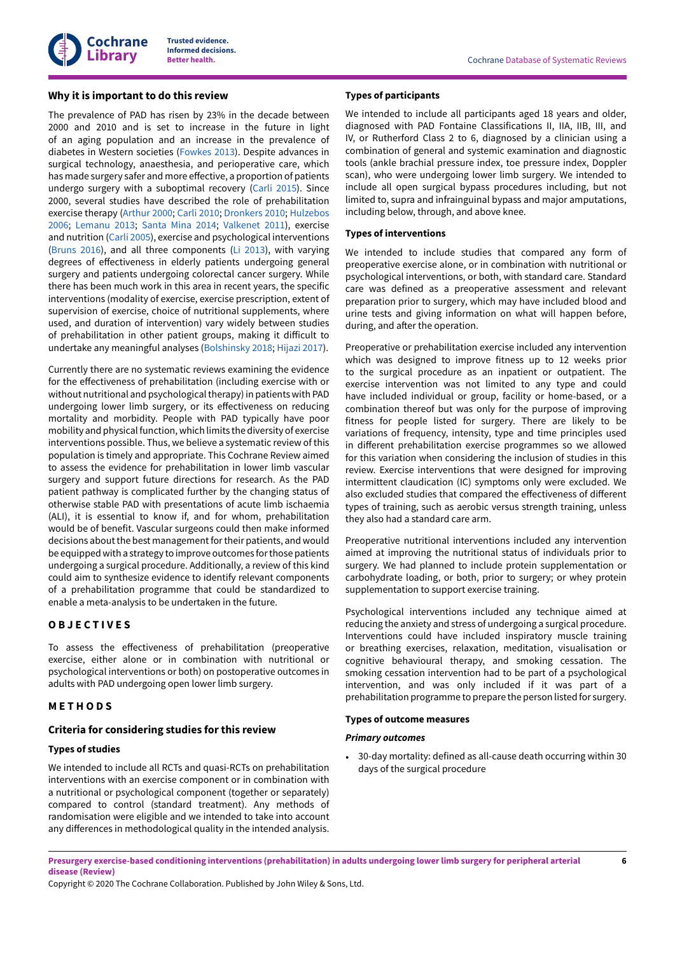## **Why it is important to do this review**

The prevalence of PAD has risen by 23% in the decade between 2000 and 2010 and is set to increase in the future in light of an aging population and an increase in the prevalence of diabetes in Western societies [\(Fowkes](#page-15-2) 2013). Despite advances in surgical technology, anaesthesia, and perioperative care, which has made surgery safer and more effective, a proportion of patients undergo surgery with a suboptimal recovery ([Carli 2015\)](#page-14-7). Since 2000, several studies have described the role of prehabilitation exercise therapy [\(Arthur 2000](#page-14-13); [Carli 2010;](#page-14-4) [Dronkers](#page-14-14) 2010; [Hulzebos](#page-15-13) [2006](#page-15-13); [Lemanu](#page-15-14) 2013; [Santa](#page-16-14) Mina 2014; [Valkenet](#page-17-6) 2011), exercise and nutrition [\(Carli 2005\)](#page-14-6), exercise and psychological interventions [\(Bruns 2016\)](#page-14-15), and all three components ([Li 2013\)](#page-16-15), with varying degrees of effectiveness in elderly patients undergoing general surgery and patients undergoing colorectal cancer surgery. While there has been much work in this area in recent years, the specific interventions (modality of exercise, exercise prescription, extent of supervision of exercise, choice of nutritional supplements, where used, and duration of intervention) vary widely between studies of prehabilitation in other patient groups, making it difficult to undertake any meaningful analyses ([Bolshinsky 2018](#page-14-16); [Hijazi 2017\)](#page-15-15).

Currently there are no systematic reviews examining the evidence for the effectiveness of prehabilitation (including exercise with or without nutritional and psychological therapy) in patients with PAD undergoing lower limb surgery, or its effectiveness on reducing mortality and morbidity. People with PAD typically have poor mobility and physicalfunction, which limits the diversity of exercise interventions possible. Thus, we believe a systematic review of this population is timely and appropriate. This Cochrane Review aimed to assess the evidence for prehabilitation in lower limb vascular surgery and support future directions for research. As the PAD patient pathway is complicated further by the changing status of otherwise stable PAD with presentations of acute limb ischaemia (ALI), it is essential to know if, and for whom, prehabilitation would be of benefit. Vascular surgeons could then make informed decisions about the best management for their patients, and would be equippedwith a strategy to improve outcomes forthose patients undergoing a surgical procedure. Additionally, a review of this kind could aim to synthesize evidence to identify relevant components of a prehabilitation programme that could be standardized to enable a meta-analysis to be undertaken in the future.

# <span id="page-7-0"></span>**O B J E C T I V E S**

To assess the effectiveness of prehabilitation (preoperative exercise, either alone or in combination with nutritional or psychological interventions or both) on postoperative outcomes in adults with PAD undergoing open lower limb surgery.

## <span id="page-7-1"></span>**M E T H O D S**

## **Criteria for considering studies for this review**

#### **Types of studies**

We intended to include all RCTs and quasi-RCTs on prehabilitation interventions with an exercise component or in combination with a nutritional or psychological component (together or separately) compared to control (standard treatment). Any methods of randomisation were eligible and we intended to take into account any differences in methodological quality in the intended analysis.

## **Types of participants**

We intended to include all participants aged 18 years and older, diagnosed with PAD Fontaine Classifications II, IIA, IIB, III, and IV, or Rutherford Class 2 to 6, diagnosed by a clinician using a combination of general and systemic examination and diagnostic tools (ankle brachial pressure index, toe pressure index, Doppler scan), who were undergoing lower limb surgery. We intended to include all open surgical bypass procedures including, but not limited to, supra and infrainguinal bypass and major amputations, including below, through, and above knee.

## **Types of interventions**

We intended to include studies that compared any form of preoperative exercise alone, or in combination with nutritional or psychological interventions, or both, with standard care. Standard care was defined as a preoperative assessment and relevant preparation prior to surgery, which may have included blood and urine tests and giving information on what will happen before, during, and after the operation.

Preoperative or prehabilitation exercise included any intervention which was designed to improve fitness up to 12 weeks prior to the surgical procedure as an inpatient or outpatient. The exercise intervention was not limited to any type and could have included individual or group, facility or home-based, or a combination thereof but was only for the purpose of improving fitness for people listed for surgery. There are likely to be variations of frequency, intensity, type and time principles used in different prehabilitation exercise programmes so we allowed for this variation when considering the inclusion of studies in this review. Exercise interventions that were designed for improving intermittent claudication (IC) symptoms only were excluded. We also excluded studies that compared the effectiveness of different types of training, such as aerobic versus strength training, unless they also had a standard care arm.

Preoperative nutritional interventions included any intervention aimed at improving the nutritional status of individuals prior to surgery. We had planned to include protein supplementation or carbohydrate loading, or both, prior to surgery; or whey protein supplementation to support exercise training.

Psychological interventions included any technique aimed at reducing the anxiety and stress of undergoing a surgical procedure. Interventions could have included inspiratory muscle training or breathing exercises, relaxation, meditation, visualisation or cognitive behavioural therapy, and smoking cessation. The smoking cessation intervention had to be part of a psychological intervention, and was only included if it was part of a prehabilitation programme to prepare the person listed for surgery.

#### **Types of outcome measures**

## *Primary outcomes*

• 30-day mortality: defined as all-cause death occurring within 30 days of the surgical procedure

Presurgery exercise-based conditioning interventions (prehabilitation) in adults undergoing lower limb surgery for peripheral arterial **disease (Review)**

Copyright © 2020 The Cochrane Collaboration. Published by John Wiley & Sons, Ltd.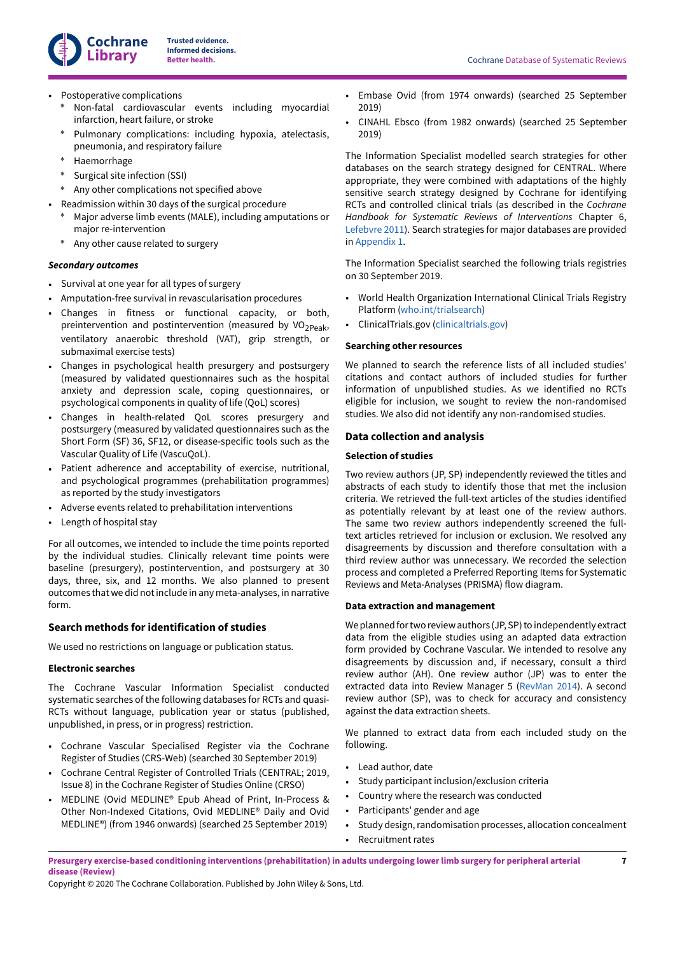**Beta Cochrane Database of Systematic Reviews** 

- Postoperative complications
	- \* Non-fatal cardiovascular events including myocardial infarction, heart failure, or stroke
	- Pulmonary complications: including hypoxia, atelectasis, pneumonia, and respiratory failure
	- Haemorrhage
	- Surgical site infection (SSI)
	- Any other complications not specified above
- Readmission within 30 days of the surgical procedure
	- Major adverse limb events (MALE), including amputations or major re-intervention
	- \* Any other cause related to surgery

## *Secondary outcomes*

- Survival at one year for all types of surgery
- Amputation-free survival in revascularisation procedures
- Changes in fitness or functional capacity, or both, preintervention and postintervention (measured by VO<sub>2Peak</sub>, ventilatory anaerobic threshold (VAT), grip strength, or submaximal exercise tests)
- Changes in psychological health presurgery and postsurgery (measured by validated questionnaires such as the hospital anxiety and depression scale, coping questionnaires, or psychological components in quality of life (QoL) scores)
- Changes in health-related QoL scores presurgery and postsurgery (measured by validated questionnaires such as the Short Form (SF) 36, SF12, or disease-specific tools such as the Vascular Quality of Life (VascuQoL).
- Patient adherence and acceptability of exercise, nutritional, and psychological programmes (prehabilitation programmes) as reported by the study investigators
- Adverse events related to prehabilitation interventions
- Length of hospital stay

For all outcomes, we intended to include the time points reported by the individual studies. Clinically relevant time points were baseline (presurgery), postintervention, and postsurgery at 30 days, three, six, and 12 months. We also planned to present outcomes that we did notinclude in any meta-analyses, in narrative form.

# **Search methods for identification of studies**

We used no restrictions on language or publication status.

## **Electronic searches**

The Cochrane Vascular Information Specialist conducted systematic searches of the following databases for RCTs and quasi-RCTs without language, publication year or status (published, unpublished, in press, or in progress) restriction.

- Cochrane Vascular Specialised Register via the Cochrane Register of Studies (CRS-Web) (searched 30 September 2019)
- Cochrane Central Register of Controlled Trials (CENTRAL; 2019, Issue 8) in the Cochrane Register of Studies Online (CRSO)
- MEDLINE (Ovid MEDLINE® Epub Ahead of Print, In-Process & Other Non-Indexed Citations, Ovid MEDLINE® Daily and Ovid MEDLINE®) (from 1946 onwards) (searched 25 September 2019)
- Embase Ovid (from 1974 onwards) (searched 25 September 2019)
- CINAHL Ebsco (from 1982 onwards) (searched 25 September 2019)

The Information Specialist modelled search strategies for other databases on the search strategy designed for CENTRAL. Where appropriate, they were combined with adaptations of the highly sensitive search strategy designed by Cochrane for identifying RCTs and controlled clinical trials (as described in the *Cochrane Handbook for Systematic Reviews of Interventions* Chapter 6, [Lefebvre](#page-15-16) 2011). Search strategies for major databases are provided in [Appendix 1](#page-20-1).

The Information Specialist searched the following trials registries on 30 September 2019.

- World Health Organization International Clinical Trials Registry Platform ([who.int/trialsearch](http://www.who.int/trialsearch))
- ClinicalTrials.gov [\(clinicaltrials.gov\)](http://www.clinicaltrials.gov)

## **Searching other resources**

We planned to search the reference lists of all included studies' citations and contact authors of included studies for further information of unpublished studies. As we identified no RCTs eligible for inclusion, we sought to review the non-randomised studies. We also did not identify any non-randomised studies.

## **Data collection and analysis**

# **Selection of studies**

Two review authors (JP, SP) independently reviewed the titles and abstracts of each study to identify those that met the inclusion criteria. We retrieved the full-text articles of the studies identified as potentially relevant by at least one of the review authors. The same two review authors independently screened the fulltext articles retrieved for inclusion or exclusion. We resolved any disagreements by discussion and therefore consultation with a third review author was unnecessary. We recorded the selection process and completed a Preferred Reporting Items for Systematic Reviews and Meta-Analyses (PRISMA) flow diagram.

## **Data extraction and management**

We planned for two review authors (JP, SP) to independently extract data from the eligible studies using an adapted data extraction form provided by Cochrane Vascular. We intended to resolve any disagreements by discussion and, if necessary, consult a third review author (AH). One review author (JP) was to enter the extracted data into Review Manager 5 [\(RevMan](#page-16-16) 2014). A second review author (SP), was to check for accuracy and consistency against the data extraction sheets.

We planned to extract data from each included study on the following.

- Lead author, date
- Study participant inclusion/exclusion criteria
- Country where the research was conducted
- Participants' gender and age
- Study design, randomisation processes, allocation concealment • Recruitment rates
- Presurgery exercise-based conditioning interventions (prehabilitation) in adults undergoing lower limb surgery for peripheral arterial **disease (Review)**

Copyright © 2020 The Cochrane Collaboration. Published by John Wiley & Sons, Ltd.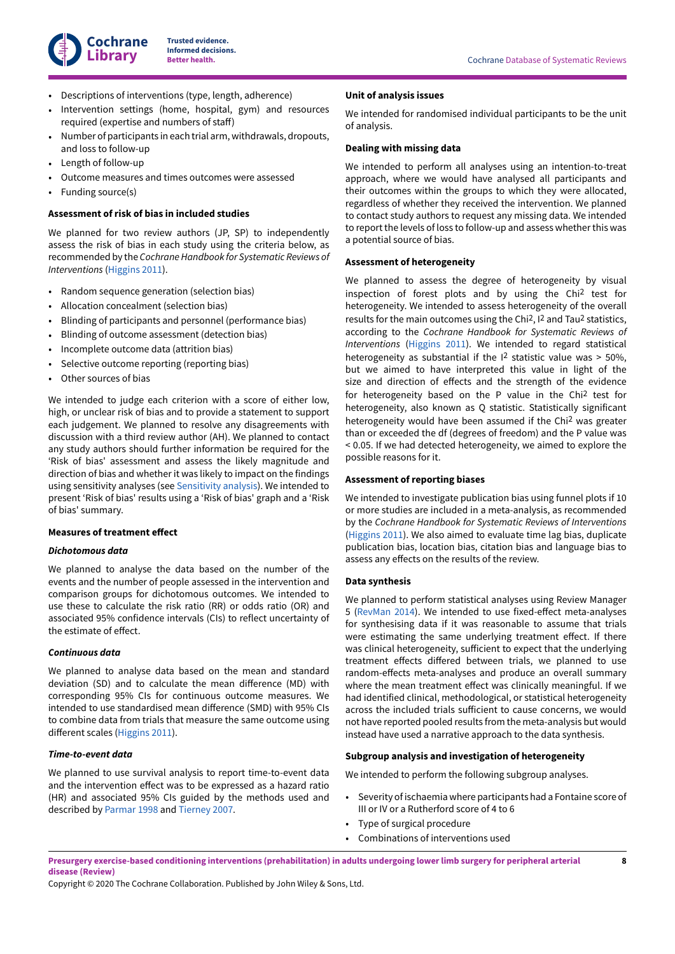

- Descriptions of interventions (type, length, adherence)
- Intervention settings (home, hospital, gym) and resources required (expertise and numbers of staff)
- Number of participants in each trial arm, withdrawals, dropouts, and loss to follow-up
- Length of follow-up
- Outcome measures and times outcomes were assessed
- Funding source(s)

#### **Assessment of risk of bias in included studies**

We planned for two review authors (JP, SP) to independently assess the risk of bias in each study using the criteria below, as recommended by the *CochraneHandbook for Systematic Reviews of Interventions* [\(Higgins 2011](#page-15-17)).

- Random sequence generation (selection bias)
- Allocation concealment (selection bias)
- Blinding of participants and personnel (performance bias)
- Blinding of outcome assessment (detection bias)
- Incomplete outcome data (attrition bias)
- Selective outcome reporting (reporting bias)
- Other sources of bias

We intended to judge each criterion with a score of either low, high, or unclear risk of bias and to provide a statement to support each judgement. We planned to resolve any disagreements with discussion with a third review author (AH). We planned to contact any study authors should further information be required for the 'Risk of bias' assessment and assess the likely magnitude and direction of bias and whether it was likely to impact on the findings using sensitivity analyses (see [Sensitivity analysis](#page-10-1)). We intended to present 'Risk of bias' results using a 'Risk of bias' graph and a 'Risk of bias' summary.

#### **Measures of treatment effect**

#### *Dichotomous data*

We planned to analyse the data based on the number of the events and the number of people assessed in the intervention and comparison groups for dichotomous outcomes. We intended to use these to calculate the risk ratio (RR) or odds ratio (OR) and associated 95% confidence intervals (CIs) to reflect uncertainty of the estimate of effect.

#### *Continuous data*

We planned to analyse data based on the mean and standard deviation (SD) and to calculate the mean difference (MD) with corresponding 95% CIs for continuous outcome measures. We intended to use standardised mean difference (SMD) with 95% CIs to combine data from trials that measure the same outcome using different scales ([Higgins 2011\)](#page-15-17).

#### *Time-to-event data*

We planned to use survival analysis to report time-to-event data and the intervention effect was to be expressed as a hazard ratio (HR) and associated 95% CIs guided by the methods used and described by [Parmar](#page-16-17) 1998 and [Tierney](#page-16-18) 2007.

## **Unit of analysis issues**

We intended for randomised individual participants to be the unit of analysis.

#### **Dealing with missing data**

We intended to perform all analyses using an intention-to-treat approach, where we would have analysed all participants and their outcomes within the groups to which they were allocated, regardless of whether they received the intervention. We planned to contact study authors to request any missing data. We intended to report the levels of loss to follow-up and assess whether this was a potential source of bias.

#### **Assessment of heterogeneity**

We planned to assess the degree of heterogeneity by visual inspection of forest plots and by using the Chi 2 test for heterogeneity. We intended to assess heterogeneity of the overall results for the main outcomes using the Chi<sup>2</sup>, I<sup>2</sup> and Tau<sup>2</sup> statistics, according to the *Cochrane Handbook for Systematic Reviews of Interventions* [\(Higgins 2011](#page-15-17)). We intended to regard statistical heterogeneity as substantial if the I 2 statistic value was > 50%, but we aimed to have interpreted this value in light of the size and direction of effects and the strength of the evidence for heterogeneity based on the P value in the Chi 2 test for heterogeneity, also known as Q statistic. Statistically significant heterogeneity would have been assumed if the Chi 2 was greater than or exceeded the df (degrees of freedom) and the P value was < 0.05. If we had detected heterogeneity, we aimed to explore the possible reasons for it.

#### **Assessment of reporting biases**

We intended to investigate publication bias using funnel plots if 10 or more studies are included in a meta-analysis, as recommended by the *Cochrane Handbook for Systematic Reviews of Interventions* [\(Higgins 2011\)](#page-15-17). We also aimed to evaluate time lag bias, duplicate publication bias, location bias, citation bias and language bias to assess any effects on the results of the review.

#### **Data synthesis**

We planned to perform statistical analyses using Review Manager 5 [\(RevMan](#page-16-16) 2014). We intended to use fixed-effect meta-analyses for synthesising data if it was reasonable to assume that trials were estimating the same underlying treatment effect. If there was clinical heterogeneity, sufficient to expect that the underlying treatment effects differed between trials, we planned to use random-effects meta-analyses and produce an overall summary where the mean treatment effect was clinically meaningful. If we had identified clinical, methodological, or statistical heterogeneity across the included trials sufficient to cause concerns, we would not have reported pooled results from the meta-analysis but would instead have used a narrative approach to the data synthesis.

#### **Subgroup analysis and investigation of heterogeneity**

We intended to perform the following subgroup analyses.

- Severity of ischaemia where participants had a Fontaine score of III or IV or a Rutherford score of 4 to 6
- Type of surgical procedure
- Combinations of interventions used

Presurgery exercise-based conditioning interventions (prehabilitation) in adults undergoing lower limb surgery for peripheral arterial **disease (Review)**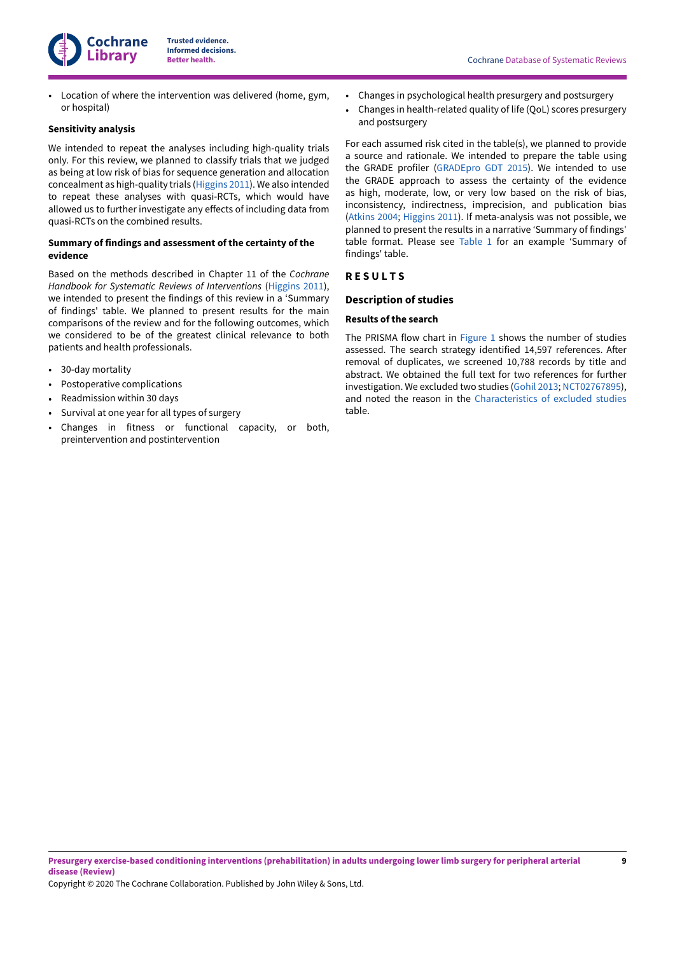

• Location of where the intervention was delivered (home, gym, or hospital)

## <span id="page-10-1"></span>**Sensitivity analysis**

We intended to repeat the analyses including high-quality trials only. For this review, we planned to classify trials that we judged as being at low risk of bias for sequence generation and allocation concealment as high-quality trials ([Higgins 2011](#page-15-17)). We also intended to repeat these analyses with quasi-RCTs, which would have allowed us to further investigate any effects of including data from quasi-RCTs on the combined results.

## **Summary of findings and assessment of the certainty of the evidence**

Based on the methods described in Chapter 11 of the *Cochrane Handbook for Systematic Reviews of Interventions* ([Higgins 2011\)](#page-15-17), we intended to present the findings of this review in a 'Summary of findings' table. We planned to present results for the main comparisons of the review and for the following outcomes, which we considered to be of the greatest clinical relevance to both patients and health professionals.

- 30-day mortality
- Postoperative complications
- Readmission within 30 days
- Survival at one year for all types of surgery
- Changes in fitness or functional capacity, or both, preintervention and postintervention
- Changes in psychological health presurgery and postsurgery
- Changes in health-related quality of life (QoL) scores presurgery and postsurgery

For each assumed risk cited in the table(s), we planned to provide a source and rationale. We intended to prepare the table using the GRADE profiler [\(GRADEpro](#page-15-18) GDT 2015). We intended to use the GRADE approach to assess the certainty of the evidence as high, moderate, low, or very low based on the risk of bias, inconsistency, indirectness, imprecision, and publication bias [\(Atkins](#page-14-17) 2004; [Higgins 2011](#page-15-17)). If meta-analysis was not possible, we planned to present the results in a narrative 'Summary of findings' table format. Please see [Table](#page-17-7) 1 for an example 'Summary of findings' table.

## <span id="page-10-0"></span>**R E S U L T S**

## **Description of studies**

#### **Results of the search**

The PRISMA flow chart in [Figure](#page-11-0) 1 shows the number of studies assessed. The search strategy identified 14,597 references. After removal of duplicates, we screened 10,788 records by title and abstract. We obtained the full text for two references for further investigation. We excluded two studies [\(Gohil 2013;](#page-14-18) [NCT02767895\)](#page-14-19), and noted the reason in the [Characteristics](#page-17-8) of excluded studies table.

Copyright © 2020 The Cochrane Collaboration. Published by John Wiley & Sons, Ltd.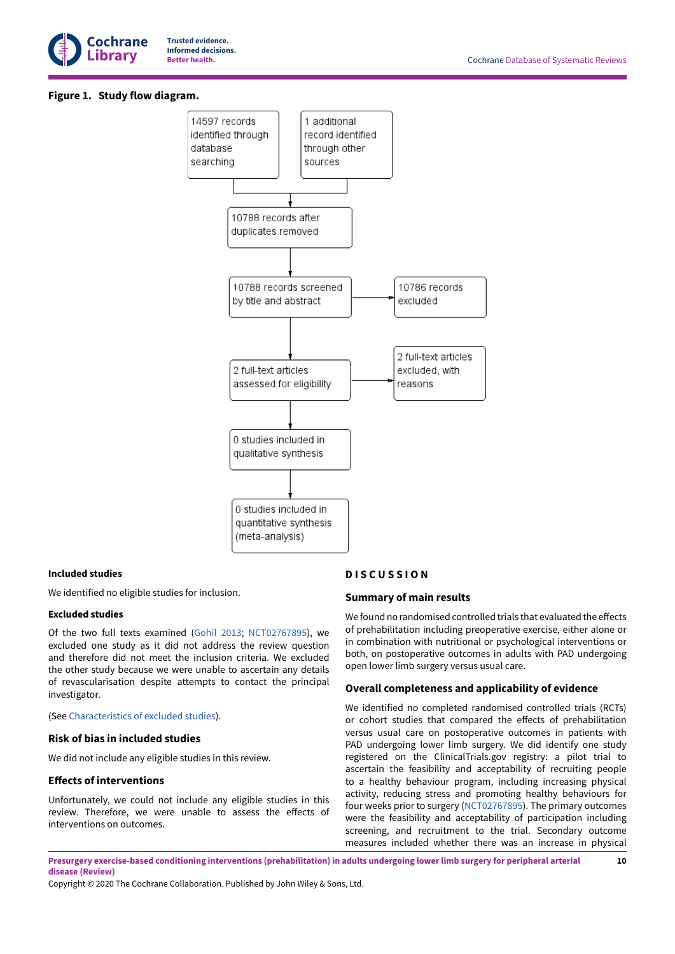

## <span id="page-11-0"></span>**Figure 1. Study flow diagram.**



## **Included studies**

We identified no eligible studies for inclusion.

## **Excluded studies**

Of the two full texts examined [\(Gohil 2013](#page-14-18); [NCT02767895\)](#page-14-19), we excluded one study as it did not address the review question and therefore did not meet the inclusion criteria. We excluded the other study because we were unable to ascertain any details of revascularisation despite attempts to contact the principal investigator.

## (See [Characteristics](#page-17-8) of excluded studies).

## **Risk of bias in included studies**

We did not include any eligible studies in this review.

#### **Effects of interventions**

Unfortunately, we could not include any eligible studies in this review. Therefore, we were unable to assess the effects of interventions on outcomes.

## <span id="page-11-1"></span>**D I S C U S S I O N**

#### **Summary of main results**

We found no randomised controlled trials that evaluated the effects of prehabilitation including preoperative exercise, either alone or in combination with nutritional or psychological interventions or both, on postoperative outcomes in adults with PAD undergoing open lower limb surgery versus usual care.

#### **Overall completeness and applicability of evidence**

We identified no completed randomised controlled trials (RCTs) or cohort studies that compared the effects of prehabilitation versus usual care on postoperative outcomes in patients with PAD undergoing lower limb surgery. We did identify one study registered on the ClinicalTrials.gov registry: a pilot trial to ascertain the feasibility and acceptability of recruiting people to a healthy behaviour program, including increasing physical activity, reducing stress and promoting healthy behaviours for four weeks prior to surgery ([NCT02767895](#page-14-19)). The primary outcomes were the feasibility and acceptability of participation including screening, and recruitment to the trial. Secondary outcome measures included whether there was an increase in physical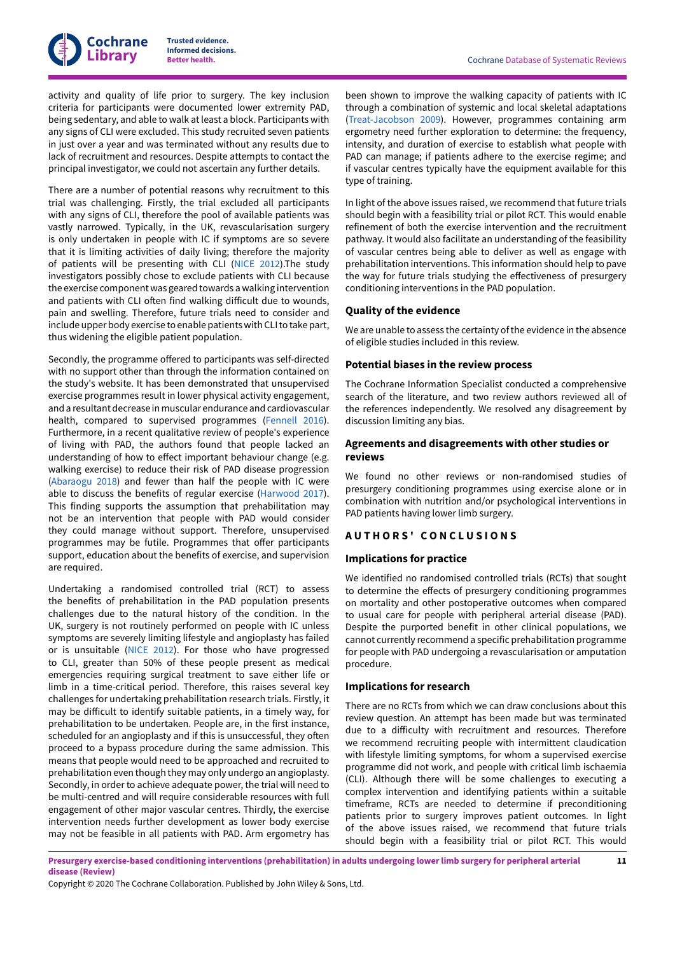activity and quality of life prior to surgery. The key inclusion criteria for participants were documented lower extremity PAD, being sedentary, and able to walk atleast a block. Participants with any signs of CLI were excluded. This study recruited seven patients in just over a year and was terminated without any results due to lack of recruitment and resources. Despite attempts to contact the principal investigator, we could not ascertain any further details.

There are a number of potential reasons why recruitment to this trial was challenging. Firstly, the trial excluded all participants with any signs of CLI, therefore the pool of available patients was vastly narrowed. Typically, in the UK, revascularisation surgery is only undertaken in people with IC if symptoms are so severe that it is limiting activities of daily living; therefore the majority of patients will be presenting with CLI ([NICE 2012](#page-16-1)).The study investigators possibly chose to exclude patients with CLI because the exercise component was geared towards a walking intervention and patients with CLI often find walking difficult due to wounds, pain and swelling. Therefore, future trials need to consider and include upper body exercise to enable patients with CLI to take part, thus widening the eligible patient population.

Secondly, the programme offered to participants was self-directed with no support other than through the information contained on the study's website. It has been demonstrated that unsupervised exercise programmes result in lower physical activity engagement, and a resultant decrease in muscular endurance and cardiovascular health, compared to supervised programmes [\(Fennell](#page-15-19) 2016). Furthermore, in a recent qualitative review of people's experience of living with PAD, the authors found that people lacked an understanding of how to effect important behaviour change (e.g. walking exercise) to reduce their risk of PAD disease progression [\(Abaraogu](#page-14-20) 2018) and fewer than half the people with IC were able to discuss the benefits of regular exercise ([Harwood](#page-15-20) 2017). This finding supports the assumption that prehabilitation may not be an intervention that people with PAD would consider they could manage without support. Therefore, unsupervised programmes may be futile. Programmes that offer participants support, education about the benefits of exercise, and supervision are required.

Undertaking a randomised controlled trial (RCT) to assess the benefits of prehabilitation in the PAD population presents challenges due to the natural history of the condition. In the UK, surgery is not routinely performed on people with IC unless symptoms are severely limiting lifestyle and angioplasty has failed or is unsuitable ([NICE 2012](#page-16-1)). For those who have progressed to CLI, greater than 50% of these people present as medical emergencies requiring surgical treatment to save either life or limb in a time-critical period. Therefore, this raises several key challenges for undertaking prehabilitation research trials. Firstly, it may be difficult to identify suitable patients, in a timely way, for prehabilitation to be undertaken. People are, in the first instance, scheduled for an angioplasty and if this is unsuccessful, they often proceed to a bypass procedure during the same admission. This means that people would need to be approached and recruited to prehabilitation even though they may only undergo an angioplasty. Secondly, in order to achieve adequate power, the trial will need to be multi-centred and will require considerable resources with full engagement of other major vascular centres. Thirdly, the exercise intervention needs further development as lower body exercise may not be feasible in all patients with PAD. Arm ergometry has

been shown to improve the walking capacity of patients with IC through a combination of systemic and local skeletal adaptations [\(Treat-Jacobson](#page-16-19) 2009). However, programmes containing arm ergometry need further exploration to determine: the frequency, intensity, and duration of exercise to establish what people with PAD can manage; if patients adhere to the exercise regime; and if vascular centres typically have the equipment available for this type of training.

In light of the above issues raised, we recommend that future trials should begin with a feasibility trial or pilot RCT. This would enable refinement of both the exercise intervention and the recruitment pathway. It would also facilitate an understanding of the feasibility of vascular centres being able to deliver as well as engage with prehabilitation interventions. This information should help to pave the way for future trials studying the effectiveness of presurgery conditioning interventions in the PAD population.

## **Quality of the evidence**

We are unable to assess the certainty of the evidence in the absence of eligible studies included in this review.

#### **Potential biases in the review process**

The Cochrane Information Specialist conducted a comprehensive search of the literature, and two review authors reviewed all of the references independently. We resolved any disagreement by discussion limiting any bias.

## **Agreements and disagreements with other studies or reviews**

We found no other reviews or non-randomised studies of presurgery conditioning programmes using exercise alone or in combination with nutrition and/or psychological interventions in PAD patients having lower limb surgery.

## <span id="page-12-0"></span>**A U T H O R S ' C O N C L U S I O N S**

#### **Implications for practice**

We identified no randomised controlled trials (RCTs) that sought to determine the effects of presurgery conditioning programmes on mortality and other postoperative outcomes when compared to usual care for people with peripheral arterial disease (PAD). Despite the purported benefit in other clinical populations, we cannot currently recommend a specific prehabilitation programme for people with PAD undergoing a revascularisation or amputation procedure.

#### **Implications for research**

There are no RCTs from which we can draw conclusions about this review question. An attempt has been made but was terminated due to a difficulty with recruitment and resources. Therefore we recommend recruiting people with intermittent claudication with lifestyle limiting symptoms, for whom a supervised exercise programme did not work, and people with critical limb ischaemia (CLI). Although there will be some challenges to executing a complex intervention and identifying patients within a suitable timeframe, RCTs are needed to determine if preconditioning patients prior to surgery improves patient outcomes. In light of the above issues raised, we recommend that future trials should begin with a feasibility trial or pilot RCT. This would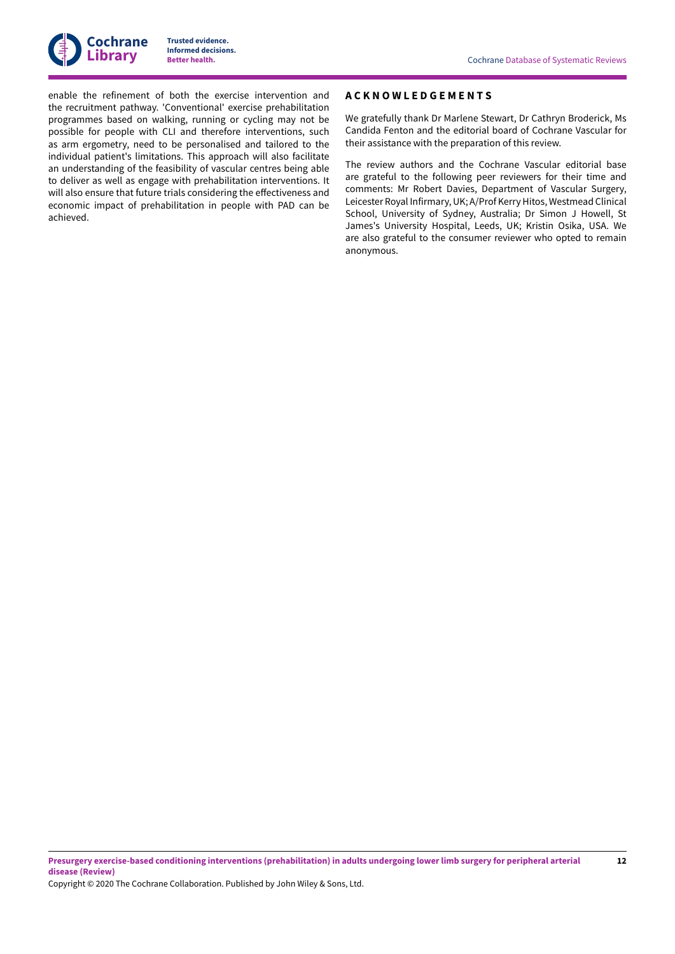

enable the refinement of both the exercise intervention and the recruitment pathway. 'Conventional' exercise prehabilitation programmes based on walking, running or cycling may not be possible for people with CLI and therefore interventions, such as arm ergometry, need to be personalised and tailored to the individual patient's limitations. This approach will also facilitate an understanding of the feasibility of vascular centres being able to deliver as well as engage with prehabilitation interventions. It will also ensure that future trials considering the effectiveness and economic impact of prehabilitation in people with PAD can be achieved.

## <span id="page-13-0"></span>**A C K N O W L E D G E M E N T S**

We gratefully thank Dr Marlene Stewart, Dr Cathryn Broderick, Ms Candida Fenton and the editorial board of Cochrane Vascular for their assistance with the preparation of this review.

The review authors and the Cochrane Vascular editorial base are grateful to the following peer reviewers for their time and comments: Mr Robert Davies, Department of Vascular Surgery, Leicester Royal Infirmary, UK; A/Prof Kerry Hitos, Westmead Clinical School, University of Sydney, Australia; Dr Simon J Howell, St James's University Hospital, Leeds, UK; Kristin Osika, USA. We are also grateful to the consumer reviewer who opted to remain anonymous.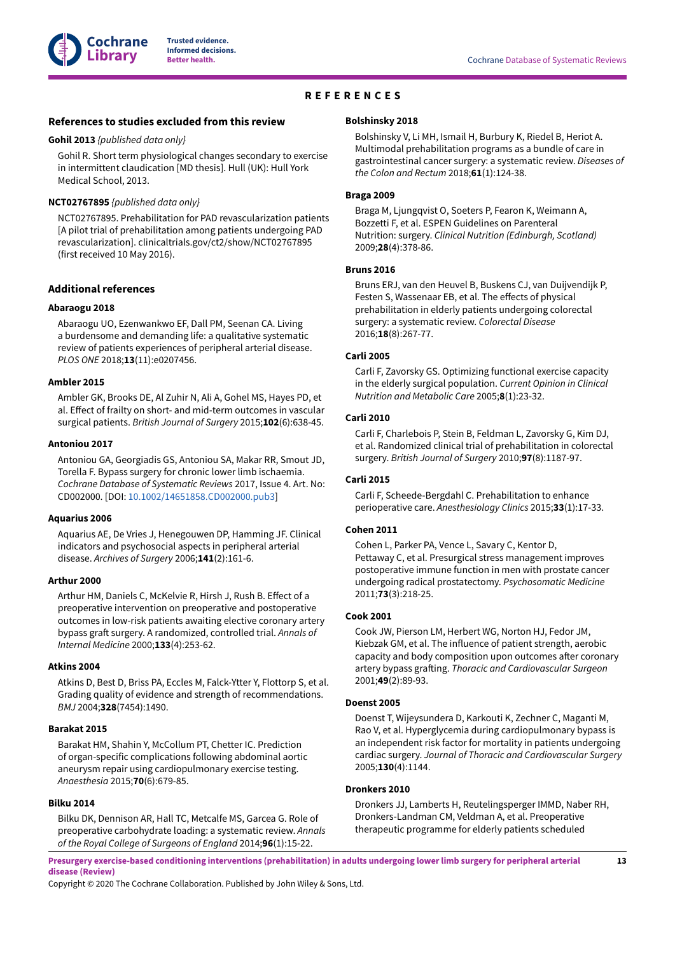

# **REFERENCES**

#### <span id="page-14-0"></span>**References to studies excluded from this review**

#### <span id="page-14-18"></span>**Gohil 2013** *{published data only}*

Gohil R. Short term physiological changes secondary to exercise in intermittent claudication [MD thesis]. Hull (UK): Hull York Medical School, 2013.

#### <span id="page-14-19"></span>**NCT02767895** *{published data only}*

NCT02767895. Prehabilitation for PAD revascularization patients [A pilot trial of prehabilitation among patients undergoing PAD revascularization]. clinicaltrials.gov/ct2/show/NCT02767895 (first received 10 May 2016).

## **Additional references**

#### <span id="page-14-20"></span>**Abaraogu 2018**

Abaraogu UO, Ezenwankwo EF, Dall PM, Seenan CA. Living a burdensome and demanding life: a qualitative systematic review of patients experiences of peripheral arterial disease. *PLOS ONE* 2018;**13**(11):e0207456.

#### <span id="page-14-1"></span>**Ambler 2015**

Ambler GK, Brooks DE, Al Zuhir N, Ali A, Gohel MS, Hayes PD, et al. Effect of frailty on short- and mid-term outcomes in vascular surgical patients. *British Journal of Surgery* 2015;**102**(6):638-45.

#### <span id="page-14-2"></span>**Antoniou 2017**

Antoniou GA, Georgiadis GS, Antoniou SA, Makar RR, Smout JD, Torella F. Bypass surgery for chronic lower limb ischaemia. *Cochrane Database of Systematic Reviews* 2017, Issue 4. Art. No: CD002000. [DOI: [10.1002/14651858.CD002000.pub3\]](https://doi.org/10.1002%2F14651858.CD002000.pub3)

## <span id="page-14-11"></span>**Aquarius 2006**

Aquarius AE, De Vries J, Henegouwen DP, Hamming JF. Clinical indicators and psychosocial aspects in peripheral arterial disease. *Archives of Surgery* 2006;**141**(2):161-6.

## <span id="page-14-13"></span>**Arthur 2000**

Arthur HM, Daniels C, McKelvie R, Hirsh J, Rush B. Effect of a preoperative intervention on preoperative and postoperative outcomes in low-risk patients awaiting elective coronary artery bypass graft surgery. A randomized, controlled trial. Annals of *Internal Medicine* 2000;**133**(4):253-62.

#### <span id="page-14-17"></span>**Atkins 2004**

Atkins D, Best D, Briss PA, Eccles M, Falck-Ytter Y, Flottorp S, et al. Grading quality of evidence and strength of recommendations. *BMJ* 2004;**328**(7454):1490.

## <span id="page-14-8"></span>**Barakat 2015**

Barakat HM, Shahin Y, McCollum PT, Chetter IC. Prediction of organ-specific complications following abdominal aortic aneurysm repair using cardiopulmonary exercise testing. *Anaesthesia* 2015;**70**(6):679-85.

#### <span id="page-14-10"></span>**Bilku 2014**

Bilku DK, Dennison AR, Hall TC, Metcalfe MS, Garcea G. Role of preoperative carbohydrate loading: a systematic review. *Annals of the Royal College of Surgeons of England* 2014;**96**(1):15-22.

#### <span id="page-14-16"></span>**Bolshinsky 2018**

Bolshinsky V, Li MH, Ismail H, Burbury K, Riedel B, Heriot A. Multimodal prehabilitation programs as a bundle of care in gastrointestinal cancer surgery: a systematic review. *Diseases of the Colon and Rectum* 2018;**61**(1):124-38.

#### <span id="page-14-3"></span>**Braga 2009**

Braga M, Ljungqvist O, Soeters P, Fearon K, Weimann A, Bozzetti F, et al. ESPEN Guidelines on Parenteral Nutrition: surgery. *Clinical Nutrition (Edinburgh, Scotland)* 2009;**28**(4):378-86.

#### <span id="page-14-15"></span>**Bruns 2016**

Bruns ERJ, van den Heuvel B, Buskens CJ, van Duijvendijk P, Festen S, Wassenaar EB, et al. The effects of physical prehabilitation in elderly patients undergoing colorectal surgery: a systematic review. *Colorectal Disease* 2016;**18**(8):267-77.

#### <span id="page-14-6"></span>**Carli 2005**

Carli F, Zavorsky GS. Optimizing functional exercise capacity in the elderly surgical population. *Current Opinion in Clinical Nutrition and Metabolic Care* 2005;**8**(1):23-32.

## <span id="page-14-4"></span>**Carli 2010**

Carli F, Charlebois P, Stein B, Feldman L, Zavorsky G, Kim DJ, et al. Randomized clinical trial of prehabilitation in colorectal surgery. *British Journal of Surgery* 2010;**97**(8):1187-97.

#### <span id="page-14-7"></span>**Carli 2015**

Carli F, Scheede-Bergdahl C. Prehabilitation to enhance perioperative care. *Anesthesiology Clinics* 2015;**33**(1):17-33.

#### <span id="page-14-12"></span>**Cohen 2011**

Cohen L, Parker PA, Vence L, Savary C, Kentor D, Pettaway C, et al. Presurgical stress management improves postoperative immune function in men with prostate cancer undergoing radical prostatectomy. *Psychosomatic Medicine* 2011;**73**(3):218-25.

## <span id="page-14-5"></span>**Cook 2001**

Cook JW, Pierson LM, Herbert WG, Norton HJ, Fedor JM, Kiebzak GM, et al. The influence of patient strength, aerobic capacity and body composition upon outcomes after coronary artery bypass graKing. *Thoracic and Cardiovascular Surgeon* 2001;**49**(2):89-93.

#### <span id="page-14-9"></span>**Doenst 2005**

Doenst T, Wijeysundera D, Karkouti K, Zechner C, Maganti M, Rao V, et al. Hyperglycemia during cardiopulmonary bypass is an independent risk factor for mortality in patients undergoing cardiac surgery. *Journal of Thoracic and Cardiovascular Surgery* 2005;**130**(4):1144.

## <span id="page-14-14"></span>**Dronkers 2010**

Dronkers JJ, Lamberts H, Reutelingsperger IMMD, Naber RH, Dronkers-Landman CM, Veldman A, et al. Preoperative therapeutic programme for elderly patients scheduled

Presurgery exercise-based conditioning interventions (prehabilitation) in adults undergoing lower limb surgery for peripheral arterial **disease (Review)**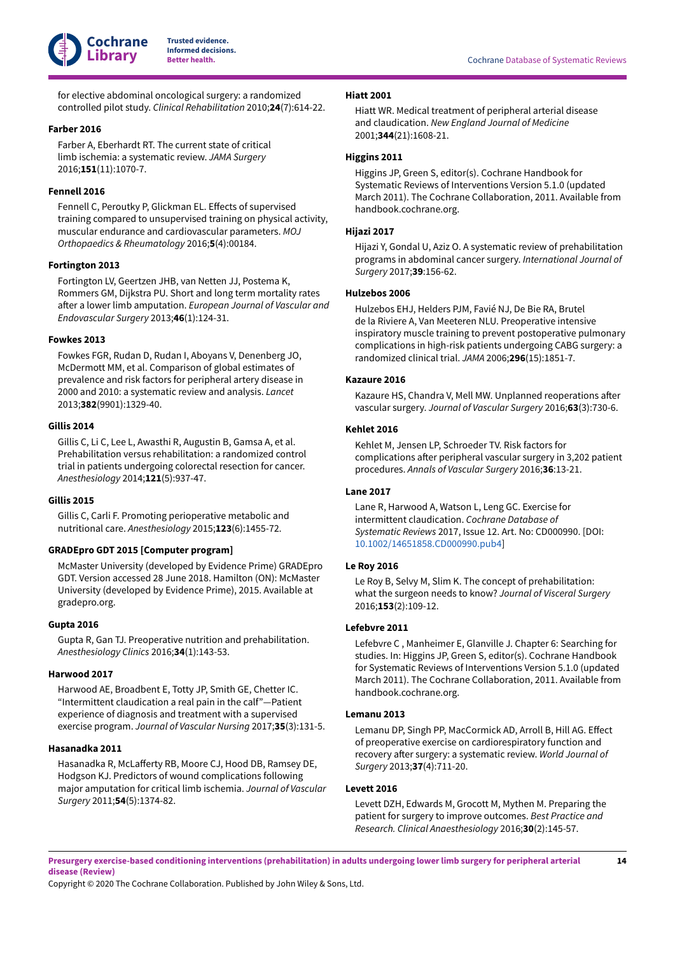

for elective abdominal oncological surgery: a randomized controlled pilot study. *Clinical Rehabilitation* 2010;**24**(7):614-22.

## <span id="page-15-7"></span>**Farber 2016**

Farber A, Eberhardt RT. The current state of critical limb ischemia: a systematic review. *JAMA Surgery* 2016;**151**(11):1070-7.

## <span id="page-15-19"></span>**Fennell 2016**

Fennell C, Peroutky P, Glickman EL. Effects of supervised training compared to unsupervised training on physical activity, muscular endurance and cardiovascular parameters. *MOJ Orthopaedics & Rheumatology* 2016;**5**(4):00184.

## <span id="page-15-4"></span>**Fortington 2013**

Fortington LV, Geertzen JHB, van Netten JJ, Postema K, Rommers GM, Dijkstra PU. Short and long term mortality rates after a lower limb amputation. *European Journal of Vascular and Endovascular Surgery* 2013;**46**(1):124-31.

## <span id="page-15-2"></span>**Fowkes 2013**

Fowkes FGR, Rudan D, Rudan I, Aboyans V, Denenberg JO, McDermott MM, et al. Comparison of global estimates of prevalence and risk factors for peripheral artery disease in 2000 and 2010: a systematic review and analysis. *Lancet* 2013;**382**(9901):1329-40.

## <span id="page-15-12"></span>**Gillis 2014**

Gillis C, Li C, Lee L, Awasthi R, Augustin B, Gamsa A, et al. Prehabilitation versus rehabilitation: a randomized control trial in patients undergoing colorectal resection for cancer. *Anesthesiology* 2014;**121**(5):937-47.

## <span id="page-15-8"></span>**Gillis 2015**

Gillis C, Carli F. Promoting perioperative metabolic and nutritional care. *Anesthesiology* 2015;**123**(6):1455-72.

## <span id="page-15-18"></span>**GRADEpro GDT 2015 [Computer program]**

McMaster University (developed by Evidence Prime) GRADEpro GDT. Version accessed 28 June 2018. Hamilton (ON): McMaster University (developed by Evidence Prime), 2015. Available at gradepro.org.

#### <span id="page-15-11"></span>**Gupta 2016**

Gupta R, Gan TJ. Preoperative nutrition and prehabilitation. *Anesthesiology Clinics* 2016;**34**(1):143-53.

## <span id="page-15-20"></span>**Harwood 2017**

Harwood AE, Broadbent E, Totty JP, Smith GE, Chetter IC. "Intermittent claudication a real pain in the calf"—Patient experience of diagnosis and treatment with a supervised exercise program. *Journal of Vascular Nursing* 2017;**35**(3):131-5.

## <span id="page-15-3"></span>**Hasanadka 2011**

Hasanadka R, McLafferty RB, Moore CJ, Hood DB, Ramsey DE, Hodgson KJ. Predictors of wound complications following major amputation for critical limb ischemia. *Journal of Vascular Surgery* 2011;**54**(5):1374-82.

#### <span id="page-15-0"></span>**Hiatt 2001**

Hiatt WR. Medical treatment of peripheral arterial disease and claudication. *New England Journal of Medicine* 2001;**344**(21):1608-21.

## <span id="page-15-17"></span>**Higgins 2011**

Higgins JP, Green S, editor(s). Cochrane Handbook for Systematic Reviews of Interventions Version 5.1.0 (updated March 2011). The Cochrane Collaboration, 2011. Available from handbook.cochrane.org.

#### <span id="page-15-15"></span>**Hijazi 2017**

Hijazi Y, Gondal U, Aziz O. A systematic review of prehabilitation programs in abdominal cancer surgery. *International Journal of Surgery* 2017;**39**:156-62.

## <span id="page-15-13"></span>**Hulzebos 2006**

Hulzebos EHJ, Helders PJM, Favié NJ, De Bie RA, Brutel de la Riviere A, Van Meeteren NLU. Preoperative intensive inspiratory muscle training to prevent postoperative pulmonary complications in high-risk patients undergoing CABG surgery: a randomized clinical trial. *JAMA* 2006;**296**(15):1851-7.

#### <span id="page-15-5"></span>**Kazaure 2016**

Kazaure HS, Chandra V, Mell MW. Unplanned reoperations after vascular surgery. *Journal of Vascular Surgery* 2016;**63**(3):730-6.

## <span id="page-15-6"></span>**Kehlet 2016**

Kehlet M, Jensen LP, Schroeder TV. Risk factors for complications after peripheral vascular surgery in 3,202 patient procedures. *Annals of Vascular Surgery* 2016;**36**:13-21.

#### <span id="page-15-1"></span>**Lane 2017**

Lane R, Harwood A, Watson L, Leng GC. Exercise for intermittent claudication. *Cochrane Database of Systematic Reviews* 2017, Issue 12. Art. No: CD000990. [DOI: [10.1002/14651858.CD000990.pub4\]](https://doi.org/10.1002%2F14651858.CD000990.pub4)

#### <span id="page-15-10"></span>**Le Roy 2016**

Le Roy B, Selvy M, Slim K. The concept of prehabilitation: what the surgeon needs to know? *Journal of Visceral Surgery* 2016;**153**(2):109-12.

#### <span id="page-15-16"></span>**Lefebvre 2011**

Lefebvre C , Manheimer E, Glanville J. Chapter 6: Searching for studies. In: Higgins JP, Green S, editor(s). Cochrane Handbook for Systematic Reviews of Interventions Version 5.1.0 (updated March 2011). The Cochrane Collaboration, 2011. Available from handbook.cochrane.org.

## <span id="page-15-14"></span>**Lemanu 2013**

Lemanu DP, Singh PP, MacCormick AD, Arroll B, Hill AG. Effect of preoperative exercise on cardiorespiratory function and recovery after surgery: a systematic review. World Journal of *Surgery* 2013;**37**(4):711-20.

#### <span id="page-15-9"></span>**Levett 2016**

Levett DZH, Edwards M, Grocott M, Mythen M. Preparing the patient for surgery to improve outcomes. *Best Practice and Research. Clinical Anaesthesiology* 2016;**30**(2):145-57.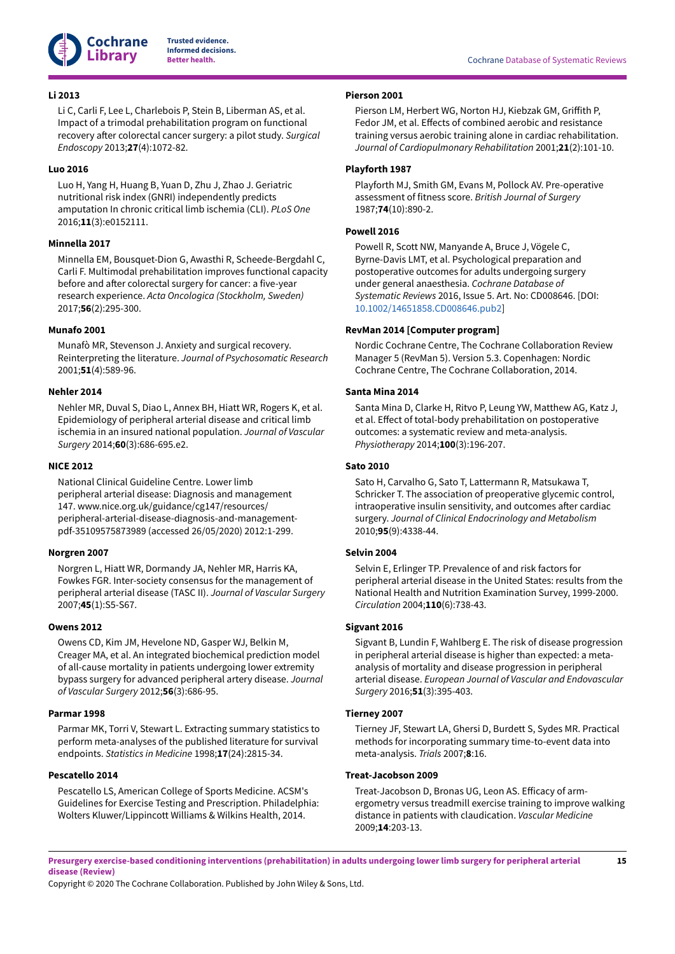

## <span id="page-16-15"></span>**Li 2013**

Li C, Carli F, Lee L, Charlebois P, Stein B, Liberman AS, et al. Impact of a trimodal prehabilitation program on functional recovery after colorectal cancer surgery: a pilot study. *Surgical Endoscopy* 2013;**27**(4):1072-82.

## <span id="page-16-5"></span>**Luo 2016**

Luo H, Yang H, Huang B, Yuan D, Zhu J, Zhao J. Geriatric nutritional risk index (GNRI) independently predicts amputation In chronic critical limb ischemia (CLI). *PLoS One* 2016;**11**(3):e0152111.

## <span id="page-16-7"></span>**Minnella 2017**

Minnella EM, Bousquet-Dion G, Awasthi R, Scheede-Bergdahl C, Carli F. Multimodal prehabilitation improves functional capacity before and after colorectal surgery for cancer: a five-year research experience. *Acta Oncologica (Stockholm, Sweden)* 2017;**56**(2):295-300.

#### <span id="page-16-13"></span>**Munafo 2001**

Munafò MR, Stevenson J. Anxiety and surgical recovery. Reinterpreting the literature. *Journal of Psychosomatic Research* 2001;**51**(4):589-96.

## <span id="page-16-4"></span>**Nehler 2014**

Nehler MR, Duval S, Diao L, Annex BH, Hiatt WR, Rogers K, et al. Epidemiology of peripheral arterial disease and critical limb ischemia in an insured national population. *Journal of Vascular Surgery* 2014;**60**(3):686-695.e2.

#### <span id="page-16-1"></span>**NICE 2012**

National Clinical Guideline Centre. Lower limb peripheral arterial disease: Diagnosis and management 147. www.nice.org.uk/guidance/cg147/resources/ peripheral-arterial-disease-diagnosis-and-managementpdf-35109575873989 (accessed 26/05/2020) 2012:1-299.

## <span id="page-16-0"></span>**Norgren 2007**

Norgren L, Hiatt WR, Dormandy JA, Nehler MR, Harris KA, Fowkes FGR. Inter-society consensus for the management of peripheral arterial disease (TASC II). *Journal of Vascular Surgery* 2007;**45**(1):S5-S67.

## <span id="page-16-6"></span>**Owens 2012**

Owens CD, Kim JM, Hevelone ND, Gasper WJ, Belkin M, Creager MA, et al. An integrated biochemical prediction model of all-cause mortality in patients undergoing lower extremity bypass surgery for advanced peripheral artery disease. *Journal of Vascular Surgery* 2012;**56**(3):686-95.

#### <span id="page-16-17"></span>**Parmar 1998**

Parmar MK, Torri V, Stewart L. Extracting summary statistics to perform meta-analyses of the published literature for survival endpoints. *Statistics in Medicine* 1998;**17**(24):2815-34.

## <span id="page-16-8"></span>**Pescatello 2014**

Pescatello LS, American College of Sports Medicine. ACSM's Guidelines for Exercise Testing and Prescription. Philadelphia: Wolters Kluwer/Lippincott Williams & Wilkins Health, 2014.

## <span id="page-16-10"></span>**Pierson 2001**

Pierson LM, Herbert WG, Norton HJ, Kiebzak GM, Griffith P, Fedor JM, et al. Effects of combined aerobic and resistance training versus aerobic training alone in cardiac rehabilitation. *Journal of Cardiopulmonary Rehabilitation* 2001;**21**(2):101-10.

## <span id="page-16-11"></span>**Playforth 1987**

Playforth MJ, Smith GM, Evans M, Pollock AV. Pre-operative assessment of fitness score. *British Journal of Surgery* 1987;**74**(10):890-2.

#### <span id="page-16-9"></span>**Powell 2016**

Powell R, Scott NW, Manyande A, Bruce J, Vögele C, Byrne-Davis LMT, et al. Psychological preparation and postoperative outcomes for adults undergoing surgery under general anaesthesia. *Cochrane Database of Systematic Reviews* 2016, Issue 5. Art. No: CD008646. [DOI: [10.1002/14651858.CD008646.pub2\]](https://doi.org/10.1002%2F14651858.CD008646.pub2)

#### <span id="page-16-16"></span>**RevMan 2014 [Computer program]**

Nordic Cochrane Centre, The Cochrane Collaboration Review Manager 5 (RevMan 5). Version 5.3. Copenhagen: Nordic Cochrane Centre, The Cochrane Collaboration, 2014.

## <span id="page-16-14"></span>**Santa Mina 2014**

Santa Mina D, Clarke H, Ritvo P, Leung YW, Matthew AG, Katz J, et al. EHect of total-body prehabilitation on postoperative outcomes: a systematic review and meta-analysis. *Physiotherapy* 2014;**100**(3):196-207.

#### <span id="page-16-12"></span>**Sato 2010**

Sato H, Carvalho G, Sato T, Lattermann R, Matsukawa T, Schricker T. The association of preoperative glycemic control, intraoperative insulin sensitivity, and outcomes after cardiac surgery. *Journal of Clinical Endocrinology and Metabolism* 2010;**95**(9):4338-44.

## <span id="page-16-2"></span>**Selvin 2004**

Selvin E, Erlinger TP. Prevalence of and risk factors for peripheral arterial disease in the United States: results from the National Health and Nutrition Examination Survey, 1999-2000. *Circulation* 2004;**110**(6):738-43.

#### <span id="page-16-3"></span>**Sigvant 2016**

Sigvant B, Lundin F, Wahlberg E. The risk of disease progression in peripheral arterial disease is higher than expected: a metaanalysis of mortality and disease progression in peripheral arterial disease. *European Journal of Vascular and Endovascular Surgery* 2016;**51**(3):395-403.

## <span id="page-16-18"></span>**Tierney 2007**

Tierney JF, Stewart LA, Ghersi D, Burdett S, Sydes MR. Practical methods for incorporating summary time-to-event data into meta-analysis. *Trials* 2007;**8**:16.

## <span id="page-16-19"></span>**Treat-Jacobson 2009**

Treat-Jacobson D, Bronas UG, Leon AS. Efficacy of armergometry versus treadmill exercise training to improve walking distance in patients with claudication. *Vascular Medicine* 2009;**14**:203-13.

Presurgery exercise-based conditioning interventions (prehabilitation) in adults undergoing lower limb surgery for peripheral arterial **disease (Review)**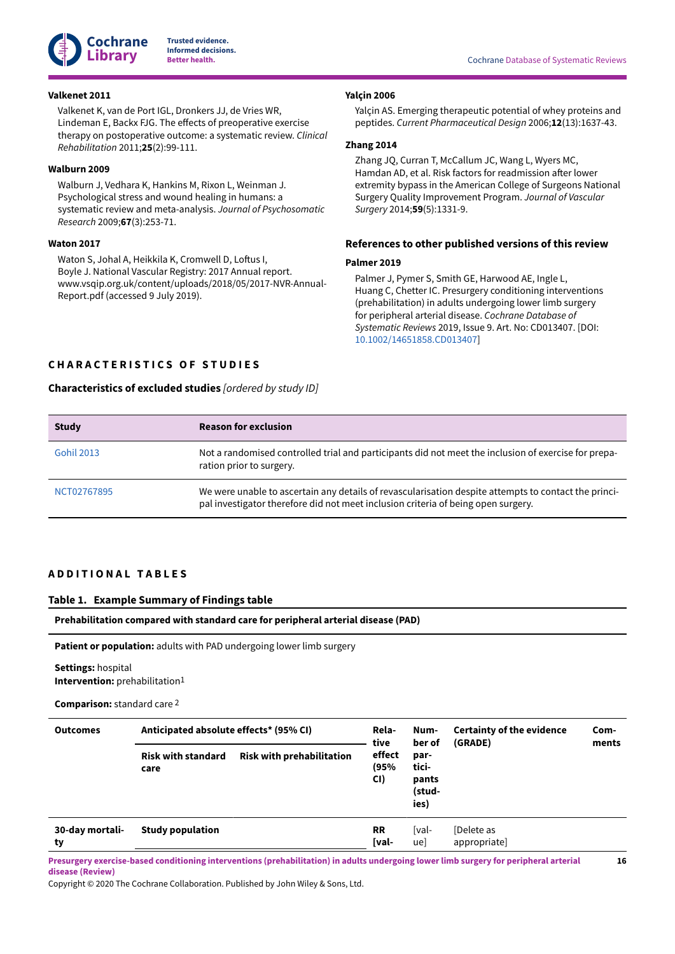

Valkenet K, van de Port IGL, Dronkers JJ, de Vries WR, Lindeman E, Backx FJG. The effects of preoperative exercise therapy on postoperative outcome: a systematic review. *Clinical*

Walburn J, Vedhara K, Hankins M, Rixon L, Weinman J. Psychological stress and wound healing in humans: a

Waton S, Johal A, Heikkila K, Cromwell D, Loftus I, Boyle J. National Vascular Registry: 2017 Annual report. www.vsqip.org.uk/content/uploads/2018/05/2017-NVR-Annual-

systematic review and meta-analysis. *Journal of Psychosomatic*

*Rehabilitation* 2011;**25**(2):99-111.

*Research* 2009;**67**(3):253-71.

Report.pdf (accessed 9 July 2019).

#### <span id="page-17-6"></span>**Valkenet 2011**

<span id="page-17-5"></span>**Walburn 2009**

<span id="page-17-2"></span>**Waton 2017**

## <span id="page-17-4"></span>**Yalçin 2006**

Yalçin AS. Emerging therapeutic potential of whey proteins and peptides. *Current Pharmaceutical Design* 2006;**12**(13):1637-43.

#### <span id="page-17-3"></span>**Zhang 2014**

Zhang JQ, Curran T, McCallum JC, Wang L, Wyers MC, Hamdan AD, et al. Risk factors for readmission after lower extremity bypass in the American College of Surgeons National Surgery Quality Improvement Program. *Journal of Vascular Surgery* 2014;**59**(5):1331-9.

## **References to other published versions of this review**

#### **Palmer 2019**

Palmer J, Pymer S, Smith GE, Harwood AE, Ingle L, Huang C, Chetter IC. Presurgery conditioning interventions (prehabilitation) in adults undergoing lower limb surgery for peripheral arterial disease. *Cochrane Database of Systematic Reviews* 2019, Issue 9. Art. No: CD013407. [DOI: [10.1002/14651858.CD013407\]](https://doi.org/10.1002%2F14651858.CD013407)

## <span id="page-17-0"></span>**C H A R A C T E R I S T I C S O F S T U D I E S**

## <span id="page-17-8"></span>**Characteristics of excluded studies** *[ordered by study ID]*

| <b>Study</b>      | <b>Reason for exclusion</b>                                                                                                                                                               |
|-------------------|-------------------------------------------------------------------------------------------------------------------------------------------------------------------------------------------|
| <b>Gohil 2013</b> | Not a randomised controlled trial and participants did not meet the inclusion of exercise for prepa-<br>ration prior to surgery.                                                          |
| NCT02767895       | We were unable to ascertain any details of revascularisation despite attempts to contact the princi-<br>pal investigator therefore did not meet inclusion criteria of being open surgery. |

## <span id="page-17-1"></span>**A D D I T I O N A L T A B L E S**

#### <span id="page-17-7"></span>**Table 1. Example Summary of Findings table**

#### **Prehabilitation compared with standard care for peripheral arterial disease (PAD)**

**Patient or population:** adults with PAD undergoing lower limb surgery

## **Settings:** hospital **Intervention:** prehabilitation1

#### **Comparison:** standard care 2

| <b>Outcomes</b>       | Anticipated absolute effects* (95% CI) |                                  | Rela-<br>tive                                                     | Num-<br>ber of | <b>Certainty of the evidence</b><br>(GRADE) | Com-<br>ments |
|-----------------------|----------------------------------------|----------------------------------|-------------------------------------------------------------------|----------------|---------------------------------------------|---------------|
|                       | <b>Risk with standard</b><br>care      | <b>Risk with prehabilitation</b> | effect<br>par-<br>tici-<br>(95%<br>CI)<br>pants<br>(stud-<br>ies) |                |                                             |               |
| 30-day mortali-<br>ty | <b>Study population</b>                |                                  | <b>RR</b><br>[val-                                                | [val-<br>ue]   | [Delete as<br>appropriate]                  |               |

Presurgery exercise-based conditioning interventions (prehabilitation) in adults undergoing lower limb surgery for peripheral arterial **disease (Review)**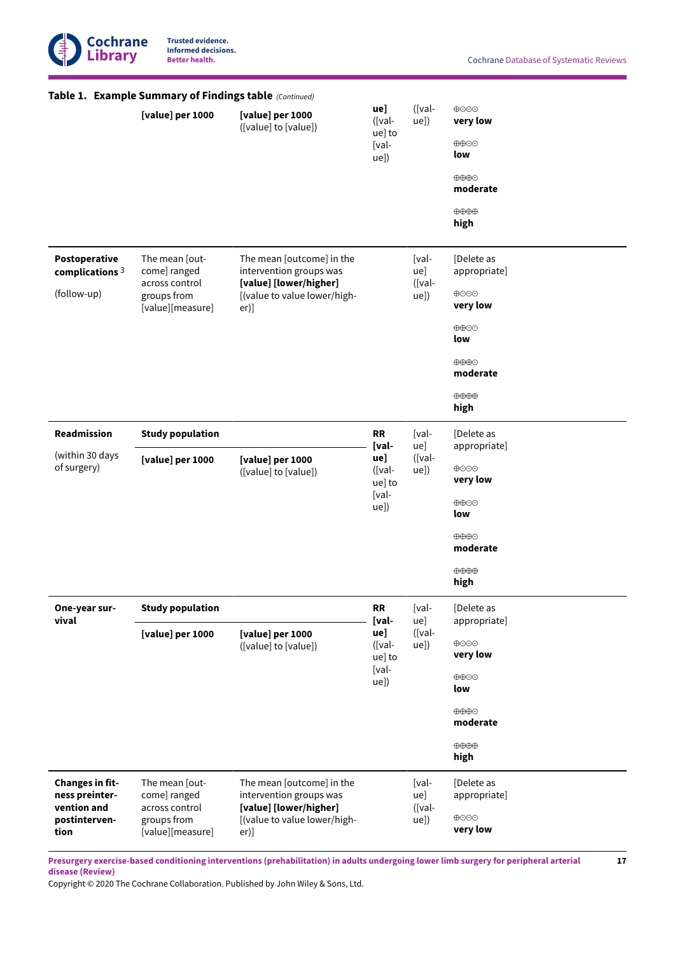

**17**

|                                                                                  | Table 1. Example Summary of Findings table (Continued)                              |                                                                                                                           |                                                                |                                |                                                                                                                                                        |
|----------------------------------------------------------------------------------|-------------------------------------------------------------------------------------|---------------------------------------------------------------------------------------------------------------------------|----------------------------------------------------------------|--------------------------------|--------------------------------------------------------------------------------------------------------------------------------------------------------|
|                                                                                  | [value] per 1000                                                                    | [value] per 1000<br>([value] to [value])                                                                                  | ue]<br>([val-<br>ue] to<br>[val-<br>ue])                       | ([val-<br>ue])                 | ⊕⊝⊝⊕<br>very low<br>⊕⊕⊝<br>low<br>$\oplus \oplus \oplus$<br>moderate<br>$\oplus \oplus \oplus$<br>high                                                 |
| Postoperative<br>complications $3$<br>(follow-up)                                | The mean [out-<br>come] ranged<br>across control<br>groups from<br>[value][measure] | The mean [outcome] in the<br>intervention groups was<br>[value] [lower/higher]<br>[(value to value lower/high-<br>er)]    |                                                                | [val-<br>ue]<br>([val-<br>ue]) | [Delete as<br>appropriate]<br>⊕⊝⊝⊕<br>very low<br>⊕⊕⊝<br>low<br>$\oplus \oplus \oplus$<br>moderate<br>$\oplus \oplus \oplus$<br>high                   |
| Readmission<br>(within 30 days<br>of surgery)                                    | <b>Study population</b><br>[value] per 1000                                         | [value] per 1000<br>([value] to [value])                                                                                  | <b>RR</b><br>[val-<br>ue]<br>([val-<br>ue] to<br>[val-<br>ue]) | [val-<br>ue]<br>([val-<br>ue]) | [Delete as<br>appropriate]<br>⊕⊝⊝⊕<br>very low<br>$\oplus \oplus \odot$<br>low<br>$\oplus \oplus \oplus$<br>moderate<br>$\oplus \oplus \oplus$<br>high |
| One-year sur-<br>vival                                                           | <b>Study population</b><br>[value] per 1000                                         | [value] per 1000<br>([value] to [value])                                                                                  | RR<br>[val-<br>ue]<br>([val-<br>ue] to<br>[val-<br>ue])        | [val-<br>ue]<br>([val-<br>ue]) | [Delete as<br>appropriate]<br>⊕⊝⊝⊕<br>very low<br>⊕⊕⊝<br>low<br>$\oplus \oplus \oplus$<br>moderate<br>$\oplus \oplus \oplus$<br>high                   |
| <b>Changes in fit-</b><br>ness preinter-<br>vention and<br>postinterven-<br>tion | The mean [out-<br>come] ranged<br>across control<br>groups from<br>[value][measure] | The mean [outcome] in the<br>intervention groups was<br>[value] [lower/higher]<br>[(value to value lower/high-<br>$er)$ ] |                                                                | [val-<br>ue]<br>([val-<br>ue]) | [Delete as<br>appropriate]<br>⊕⊝⊝⊕<br>very low                                                                                                         |

Presurgery exercise-based conditioning interventions (prehabilitation) in adults undergoing lower limb surgery for peripheral arterial **disease (Review)**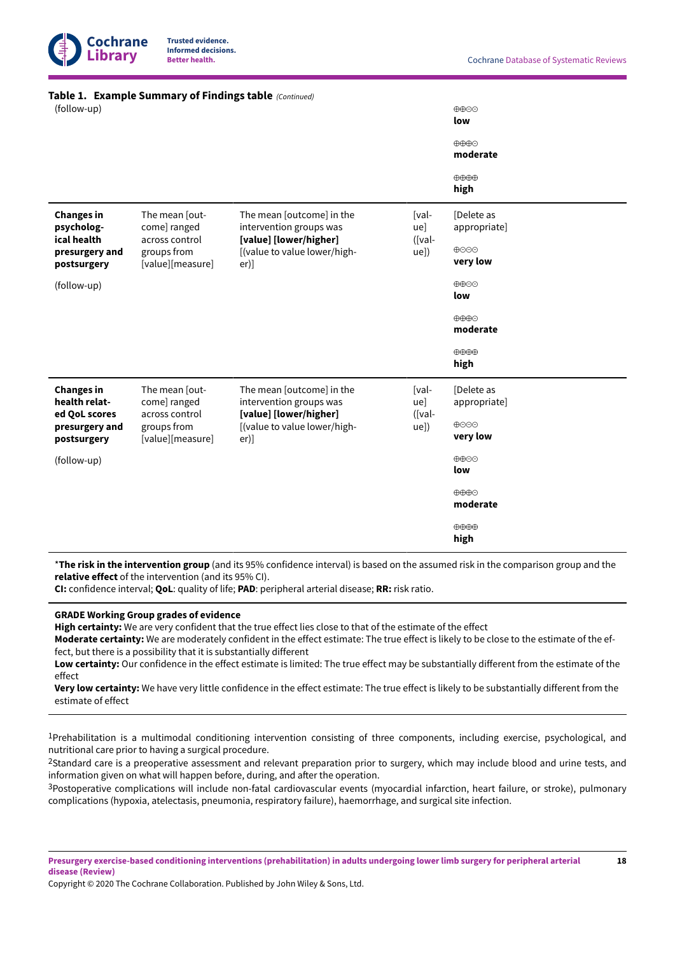

#### **Table 1. ExampleSummary of Findings table**  *(Continued)*

| (follow-up)                                         |                                                   |                                                                                |                           | $\oplus \oplus \ominus$<br>low     |  |
|-----------------------------------------------------|---------------------------------------------------|--------------------------------------------------------------------------------|---------------------------|------------------------------------|--|
|                                                     |                                                   |                                                                                |                           | $\oplus \oplus \oplus$<br>moderate |  |
|                                                     |                                                   |                                                                                |                           | $\oplus \oplus \oplus$<br>high     |  |
| <b>Changes in</b><br>psycholog-<br>ical health      | The mean [out-<br>come] ranged                    | The mean [outcome] in the<br>intervention groups was                           | [val-<br>ue]              | [Delete as<br>appropriate]         |  |
| presurgery and<br>postsurgery                       | across control<br>groups from<br>[value][measure] | [value] [lower/higher]<br>[(value to value lower/high-<br>$er)$ ]              | $([val-$<br>ue])          | ⊕⊝⊝⊕<br>very low                   |  |
| (follow-up)                                         |                                                   |                                                                                |                           | $\oplus \oplus \ominus$<br>low     |  |
|                                                     |                                                   |                                                                                |                           | $\oplus \oplus \oplus$<br>moderate |  |
|                                                     |                                                   |                                                                                |                           | $\oplus \oplus \oplus$<br>high     |  |
| <b>Changes in</b><br>health relat-<br>ed QoL scores | The mean [out-<br>come] ranged<br>across control  | The mean [outcome] in the<br>intervention groups was<br>[value] [lower/higher] | [val-<br>ue]<br>$(Ival -$ | [Delete as<br>appropriate]         |  |
| presurgery and<br>postsurgery                       | groups from<br>[value][measure]                   | [(value to value lower/high-<br>er)]                                           | ue])                      | ⊕⊝⊝⊕<br>very low                   |  |
| (follow-up)                                         |                                                   |                                                                                |                           | $\oplus \oplus \ominus$<br>low     |  |
|                                                     |                                                   |                                                                                |                           | $\oplus \oplus \oplus$<br>moderate |  |
|                                                     |                                                   |                                                                                |                           | $\oplus \oplus \oplus$<br>high     |  |

\***The risk in the intervention group** (and its 95% confidence interval) is based on the assumed risk in the comparison group and the **relative effect** of the intervention (and its 95% CI).

**CI:** confidence interval; **QoL**: quality of life; **PAD**: peripheral arterial disease; **RR:** risk ratio.

## **GRADE Working Group grades of evidence**

**High certainty:** We are very confident that the true effect lies close to that of the estimate of the effect

**Moderate certainty:** We are moderately confident in the effect estimate: The true effect is likely to be close to the estimate of the effect, but there is a possibility that it is substantially different

**Low certainty:** Our confidence in the effect estimate is limited: The true effect may be substantially different from the estimate of the effect

**Very low certainty:** We have very little confidence in the effect estimate: The true effect is likely to be substantially different from the estimate of effect

1Prehabilitation is a multimodal conditioning intervention consisting of three components, including exercise, psychological, and nutritional care prior to having a surgical procedure.

<sup>2</sup>Standard care is a preoperative assessment and relevant preparation prior to surgery, which may include blood and urine tests, and information given on what will happen before, during, and after the operation.

3Postoperative complications will include non-fatal cardiovascular events (myocardial infarction, heart failure, or stroke), pulmonary complications (hypoxia, atelectasis, pneumonia, respiratory failure), haemorrhage, and surgical site infection.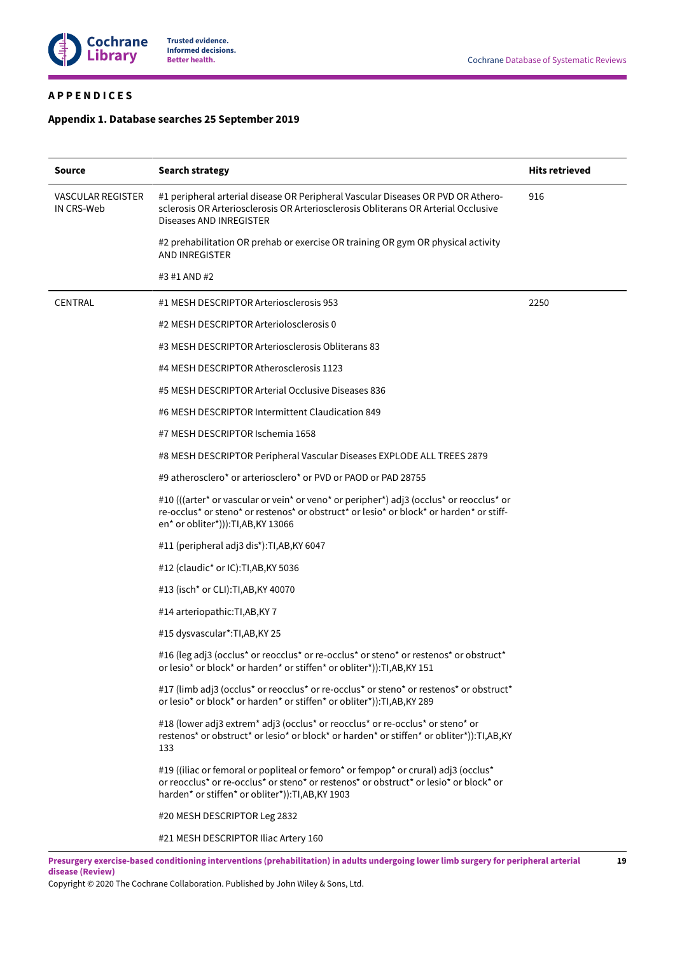

# <span id="page-20-0"></span>**A P P E N D I C E S**

# <span id="page-20-1"></span>**Appendix 1. Database searches 25September 2019**

| Source                                 | <b>Search strategy</b>                                                                                                                                                                                                            | <b>Hits retrieved</b> |
|----------------------------------------|-----------------------------------------------------------------------------------------------------------------------------------------------------------------------------------------------------------------------------------|-----------------------|
| <b>VASCULAR REGISTER</b><br>IN CRS-Web | #1 peripheral arterial disease OR Peripheral Vascular Diseases OR PVD OR Athero-<br>sclerosis OR Arteriosclerosis OR Arteriosclerosis Obliterans OR Arterial Occlusive<br>Diseases AND INREGISTER                                 | 916                   |
|                                        | #2 prehabilitation OR prehab or exercise OR training OR gym OR physical activity<br><b>AND INREGISTER</b>                                                                                                                         |                       |
|                                        | #3 #1 AND #2                                                                                                                                                                                                                      |                       |
| <b>CENTRAL</b>                         | #1 MESH DESCRIPTOR Arteriosclerosis 953                                                                                                                                                                                           | 2250                  |
|                                        | #2 MESH DESCRIPTOR Arteriolosclerosis 0                                                                                                                                                                                           |                       |
|                                        | #3 MESH DESCRIPTOR Arteriosclerosis Obliterans 83                                                                                                                                                                                 |                       |
|                                        | #4 MESH DESCRIPTOR Atherosclerosis 1123                                                                                                                                                                                           |                       |
|                                        | #5 MESH DESCRIPTOR Arterial Occlusive Diseases 836                                                                                                                                                                                |                       |
|                                        | #6 MESH DESCRIPTOR Intermittent Claudication 849                                                                                                                                                                                  |                       |
|                                        | #7 MESH DESCRIPTOR Ischemia 1658                                                                                                                                                                                                  |                       |
|                                        | #8 MESH DESCRIPTOR Peripheral Vascular Diseases EXPLODE ALL TREES 2879                                                                                                                                                            |                       |
|                                        | #9 atherosclero* or arteriosclero* or PVD or PAOD or PAD 28755                                                                                                                                                                    |                       |
|                                        | #10 (((arter* or vascular or vein* or veno* or peripher*) adj3 (occlus* or reocclus* or<br>re-occlus* or steno* or restenos* or obstruct* or lesio* or block* or harden* or stiff-<br>en* or obliter*))): TI, AB, KY 13066        |                       |
|                                        | #11 (peripheral adj3 dis*): TI, AB, KY 6047                                                                                                                                                                                       |                       |
|                                        | #12 (claudic* or IC):TI,AB,KY 5036                                                                                                                                                                                                |                       |
|                                        | #13 (isch* or CLI): TI, AB, KY 40070                                                                                                                                                                                              |                       |
|                                        | #14 arteriopathic: TI, AB, KY 7                                                                                                                                                                                                   |                       |
|                                        | #15 dysvascular*: TI, AB, KY 25                                                                                                                                                                                                   |                       |
|                                        | #16 (leg adj3 (occlus* or reocclus* or re-occlus* or steno* or restenos* or obstruct*<br>or lesio* or block* or harden* or stiffen* or obliter*)): TI, AB, KY 151                                                                 |                       |
|                                        | #17 (limb adj3 (occlus* or reocclus* or re-occlus* or steno* or restenos* or obstruct*<br>or lesio* or block* or harden* or stiffen* or obliter*)): TI, AB, KY 289                                                                |                       |
|                                        | #18 (lower adj3 extrem* adj3 (occlus* or reocclus* or re-occlus* or steno* or<br>restenos* or obstruct* or lesio* or block* or harden* or stiffen* or obliter*)):TI,AB,KY<br>133                                                  |                       |
|                                        | #19 ((iliac or femoral or popliteal or femoro* or fempop* or crural) adj3 (occlus*<br>or reocclus* or re-occlus* or steno* or restenos* or obstruct* or lesio* or block* or<br>harden* or stiffen* or obliter*)): TI, AB, KY 1903 |                       |
|                                        | #20 MESH DESCRIPTOR Leg 2832                                                                                                                                                                                                      |                       |
|                                        | #21 MESH DESCRIPTOR Iliac Artery 160                                                                                                                                                                                              |                       |
|                                        | Presurgery exercise-based conditioning interventions (prehabilitation) in adults undergoing lower limb surgery for peripheral arterial                                                                                            | 19                    |

Presurgery exercise-based conditioning interventions (prehabilitation) in adults undergoing lower limb surgery for peripheral arterial **disease (Review)**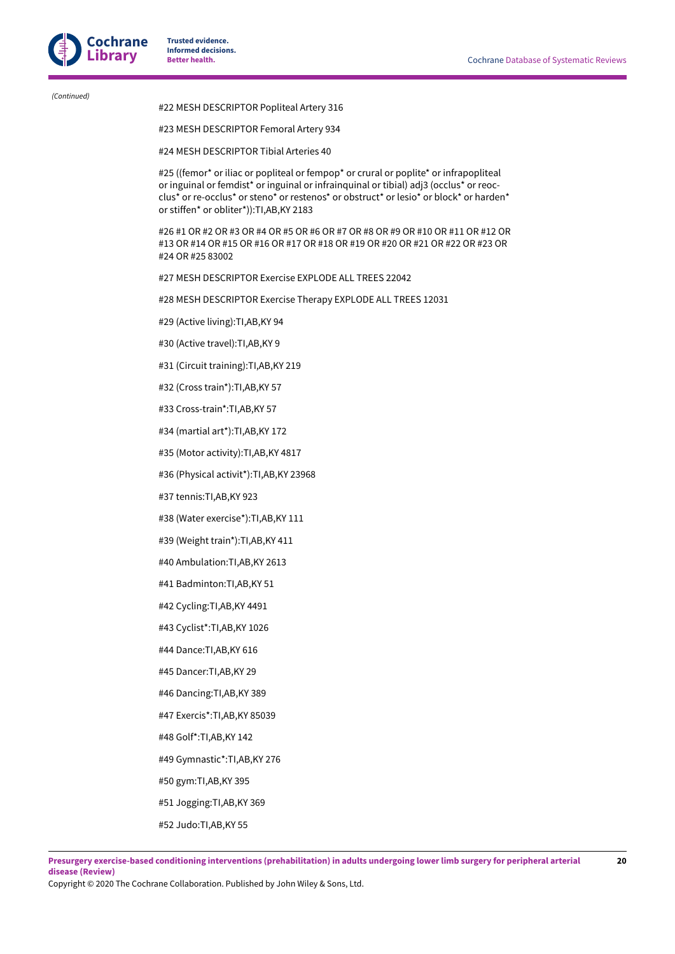*(Continued)*

## #22 MESH DESCRIPTOR Popliteal Artery 316

#### #23 MESH DESCRIPTOR Femoral Artery 934

#24 MESH DESCRIPTOR Tibial Arteries 40

#25 ((femor\* or iliac or popliteal or fempop\* or crural or poplite\* or infrapopliteal or inguinal or femdist\* or inguinal or infrainquinal or tibial) adj3 (occlus\* or reocclus\* or re-occlus\* or steno\* or restenos\* or obstruct\* or lesio\* or block\* or harden\* or stiffen\* or obliter\*)):TI,AB,KY 2183

#26 #1 OR #2 OR #3 OR #4 OR #5 OR #6 OR #7 OR #8 OR #9 OR #10 OR #11 OR #12 OR #13 OR #14 OR #15 OR #16 OR #17 OR #18 OR #19 OR #20 OR #21 OR #22 OR #23 OR #24 OR #25 83002

#27 MESH DESCRIPTOR Exercise EXPLODE ALL TREES 22042

#28 MESH DESCRIPTOR Exercise Therapy EXPLODE ALL TREES 12031

#29 (Active living):TI,AB,KY 94

- #30 (Active travel):TI,AB,KY 9
- #31 (Circuit training):TI,AB,KY 219
- #32 (Cross train\*):TI,AB,KY 57
- #33 Cross-train\*:TI,AB,KY 57
- #34 (martial art\*):TI,AB,KY 172
- #35 (Motor activity):TI,AB,KY 4817
- #36 (Physical activit\*):TI,AB,KY 23968
- #37 tennis:TI,AB,KY 923
- #38 (Water exercise\*):TI,AB,KY 111
- #39 (Weight train\*):TI,AB,KY 411
- #40 Ambulation:TI,AB,KY 2613
- #41 Badminton:TI,AB,KY 51
- #42 Cycling:TI,AB,KY 4491
- #43 Cyclist\*:TI,AB,KY 1026
- #44 Dance:TI,AB,KY 616
- #45 Dancer:TI,AB,KY 29
- #46 Dancing:TI,AB,KY 389
- #47 Exercis\*:TI,AB,KY 85039
- #48 Golf\*:TI,AB,KY 142
- #49 Gymnastic\*:TI,AB,KY 276
- #50 gym:TI,AB,KY 395
- #51 Jogging:TI,AB,KY 369
- #52 Judo:TI,AB,KY 55

Copyright © 2020 The Cochrane Collaboration. Published by John Wiley & Sons, Ltd.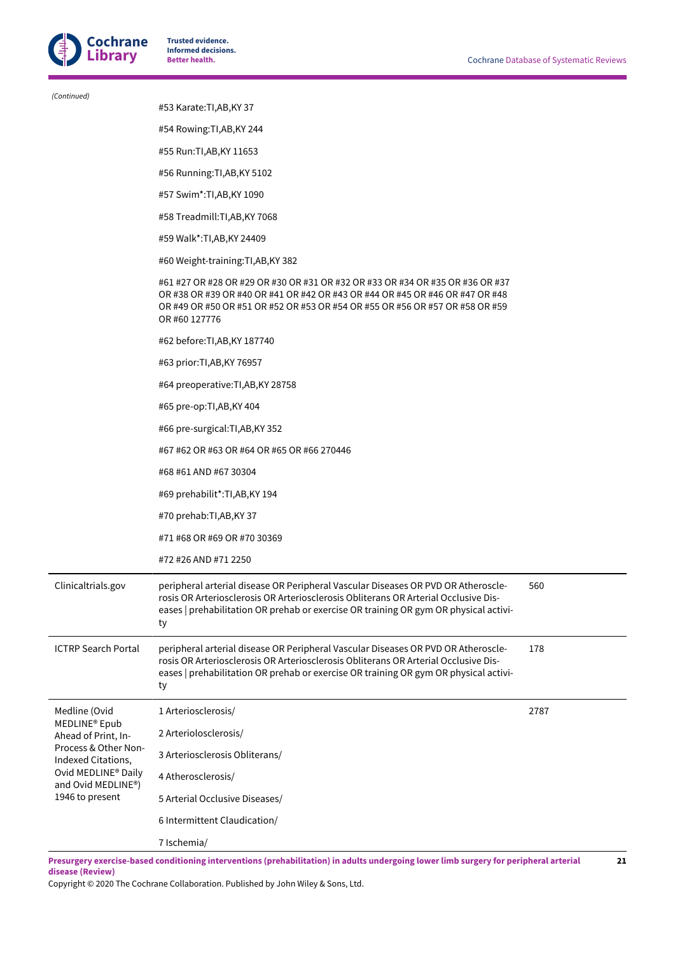

| (Continued)                                                                                                                                        |                                                                                                                                                                                                                                                                        |      |  |  |  |
|----------------------------------------------------------------------------------------------------------------------------------------------------|------------------------------------------------------------------------------------------------------------------------------------------------------------------------------------------------------------------------------------------------------------------------|------|--|--|--|
|                                                                                                                                                    | #53 Karate: TI, AB, KY 37                                                                                                                                                                                                                                              |      |  |  |  |
|                                                                                                                                                    | #54 Rowing: TI, AB, KY 244                                                                                                                                                                                                                                             |      |  |  |  |
|                                                                                                                                                    | #55 Run: TI, AB, KY 11653                                                                                                                                                                                                                                              |      |  |  |  |
|                                                                                                                                                    | #56 Running: TI, AB, KY 5102                                                                                                                                                                                                                                           |      |  |  |  |
|                                                                                                                                                    | #57 Swim*:TI,AB,KY 1090                                                                                                                                                                                                                                                |      |  |  |  |
|                                                                                                                                                    | #58 Treadmill: TI, AB, KY 7068                                                                                                                                                                                                                                         |      |  |  |  |
|                                                                                                                                                    | #59 Walk*: TI, AB, KY 24409                                                                                                                                                                                                                                            |      |  |  |  |
|                                                                                                                                                    | #60 Weight-training: TI, AB, KY 382                                                                                                                                                                                                                                    |      |  |  |  |
|                                                                                                                                                    | #61 #27 OR #28 OR #29 OR #30 OR #31 OR #32 OR #33 OR #34 OR #35 OR #36 OR #37<br>OR #38 OR #39 OR #40 OR #41 OR #42 OR #43 OR #44 OR #45 OR #46 OR #47 OR #48<br>OR #49 OR #50 OR #51 OR #52 OR #53 OR #54 OR #55 OR #56 OR #57 OR #58 OR #59<br>OR #60 127776         |      |  |  |  |
|                                                                                                                                                    | #62 before: TI, AB, KY 187740                                                                                                                                                                                                                                          |      |  |  |  |
|                                                                                                                                                    | #63 prior: TI, AB, KY 76957                                                                                                                                                                                                                                            |      |  |  |  |
|                                                                                                                                                    | #64 preoperative: TI, AB, KY 28758                                                                                                                                                                                                                                     |      |  |  |  |
|                                                                                                                                                    | #65 pre-op:TI,AB,KY 404                                                                                                                                                                                                                                                |      |  |  |  |
|                                                                                                                                                    | #66 pre-surgical:TI,AB,KY 352                                                                                                                                                                                                                                          |      |  |  |  |
|                                                                                                                                                    | #67 #62 OR #63 OR #64 OR #65 OR #66 270446                                                                                                                                                                                                                             |      |  |  |  |
|                                                                                                                                                    | #68 #61 AND #67 30304                                                                                                                                                                                                                                                  |      |  |  |  |
|                                                                                                                                                    | #69 prehabilit*: TI, AB, KY 194                                                                                                                                                                                                                                        |      |  |  |  |
|                                                                                                                                                    | #70 prehab:TI,AB,KY 37                                                                                                                                                                                                                                                 |      |  |  |  |
|                                                                                                                                                    | #71 #68 OR #69 OR #70 30369                                                                                                                                                                                                                                            |      |  |  |  |
|                                                                                                                                                    | #72 #26 AND #71 2250                                                                                                                                                                                                                                                   |      |  |  |  |
| Clinicaltrials.gov                                                                                                                                 | peripheral arterial disease OR Peripheral Vascular Diseases OR PVD OR Atheroscle-<br>rosis OR Arteriosclerosis OR Arteriosclerosis Obliterans OR Arterial Occlusive Dis-<br>eases   prehabilitation OR prehab or exercise OR training OR gym OR physical activi-<br>ty | 560  |  |  |  |
| <b>ICTRP Search Portal</b>                                                                                                                         | peripheral arterial disease OR Peripheral Vascular Diseases OR PVD OR Atheroscle-<br>rosis OR Arteriosclerosis OR Arteriosclerosis Obliterans OR Arterial Occlusive Dis-<br>eases   prehabilitation OR prehab or exercise OR training OR gym OR physical activi-<br>ty | 178  |  |  |  |
| Medline (Ovid                                                                                                                                      | 1 Arteriosclerosis/                                                                                                                                                                                                                                                    | 2787 |  |  |  |
| MEDLINE® Epub<br>Ahead of Print, In-<br>Process & Other Non-<br>Indexed Citations,<br>Ovid MEDLINE® Daily<br>and Ovid MEDLINE®)<br>1946 to present | 2 Arteriolosclerosis/                                                                                                                                                                                                                                                  |      |  |  |  |
|                                                                                                                                                    | 3 Arteriosclerosis Obliterans/                                                                                                                                                                                                                                         |      |  |  |  |
|                                                                                                                                                    | 4 Atherosclerosis/                                                                                                                                                                                                                                                     |      |  |  |  |
|                                                                                                                                                    | 5 Arterial Occlusive Diseases/                                                                                                                                                                                                                                         |      |  |  |  |
|                                                                                                                                                    | 6 Intermittent Claudication/                                                                                                                                                                                                                                           |      |  |  |  |
|                                                                                                                                                    | 7 Ischemia/                                                                                                                                                                                                                                                            |      |  |  |  |

Presurgery exercise-based conditioning interventions (prehabilitation) in adults undergoing lower limb surgery for peripheral arterial **disease (Review) 21**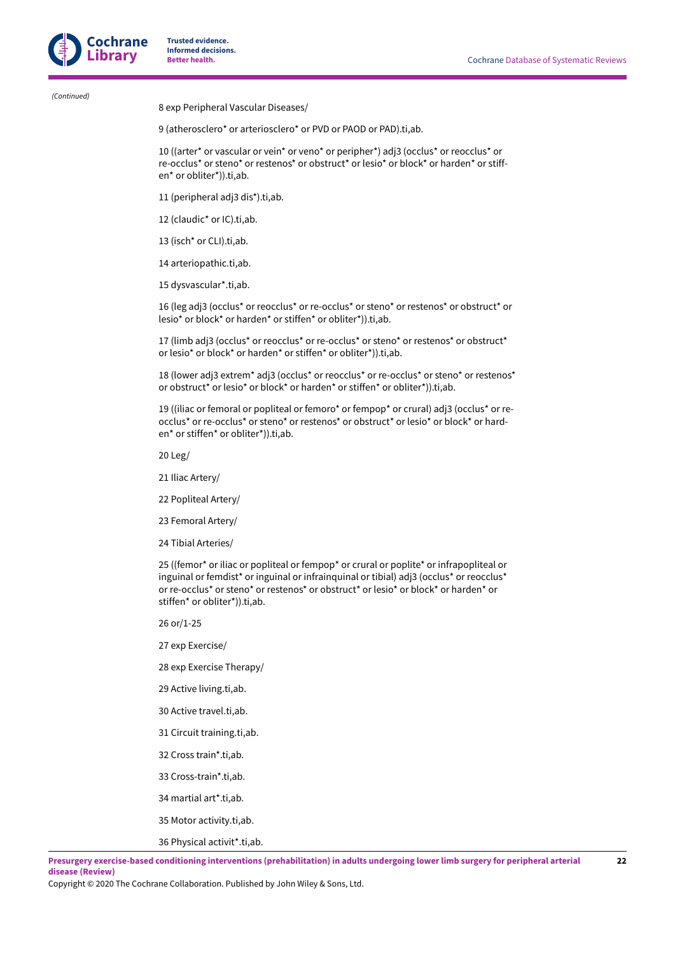*(Continued)*

8 exp Peripheral Vascular Diseases/

9 (atherosclero\* or arteriosclero\* or PVD or PAOD or PAD).ti,ab.

10 ((arter\* or vascular or vein\* or veno\* or peripher\*) adj3 (occlus\* or reocclus\* or re-occlus\* or steno\* or restenos\* or obstruct\* or lesio\* or block\* or harden\* or stiffen\* or obliter\*)).ti,ab.

- 11 (peripheral adj3 dis\*).ti,ab.
- 12 (claudic\* or IC).ti,ab.
- 13 (isch\* or CLI).ti,ab.
- 14 arteriopathic.ti,ab.
- 15 dysvascular\*.ti,ab.

16 (leg adj3 (occlus\* or reocclus\* or re-occlus\* or steno\* or restenos\* or obstruct\* or lesio\* or block\* or harden\* or stiffen\* or obliter\*)).ti,ab.

17 (limb adj3 (occlus\* or reocclus\* or re-occlus\* or steno\* or restenos\* or obstruct\* or lesio\* or block\* or harden\* or stiffen\* or obliter\*)).ti,ab.

18 (lower adj3 extrem\* adj3 (occlus\* or reocclus\* or re-occlus\* or steno\* or restenos\* or obstruct\* or lesio\* or block\* or harden\* or stiffen\* or obliter\*)).ti,ab.

19 ((iliac or femoral or popliteal or femoro\* or fempop\* or crural) adj3 (occlus\* or reocclus\* or re-occlus\* or steno\* or restenos\* or obstruct\* or lesio\* or block\* or harden\* or stiffen\* or obliter\*)).ti,ab.

20 Leg/

- 21 Iliac Artery/
- 22 Popliteal Artery/
- 23 Femoral Artery/
- 24 Tibial Arteries/

25 ((femor\* or iliac or popliteal or fempop\* or crural or poplite\* or infrapopliteal or inguinal or femdist\* or inguinal or infrainquinal or tibial) adj3 (occlus\* or reocclus\* or re-occlus\* or steno\* or restenos\* or obstruct\* or lesio\* or block\* or harden\* or stiffen\* or obliter\*)).ti,ab.

- 26 or/1-25
- 27 exp Exercise/
- 28 exp Exercise Therapy/
- 29 Active living.ti,ab.
- 30 Active travel.ti,ab.
- 31 Circuit training.ti,ab.
- 32 Cross train\*.ti,ab.
- 33 Cross-train\*.ti,ab.
- 34 martial art\*.ti,ab.
- 35 Motor activity.ti,ab.
- 36 Physical activit\*.ti,ab.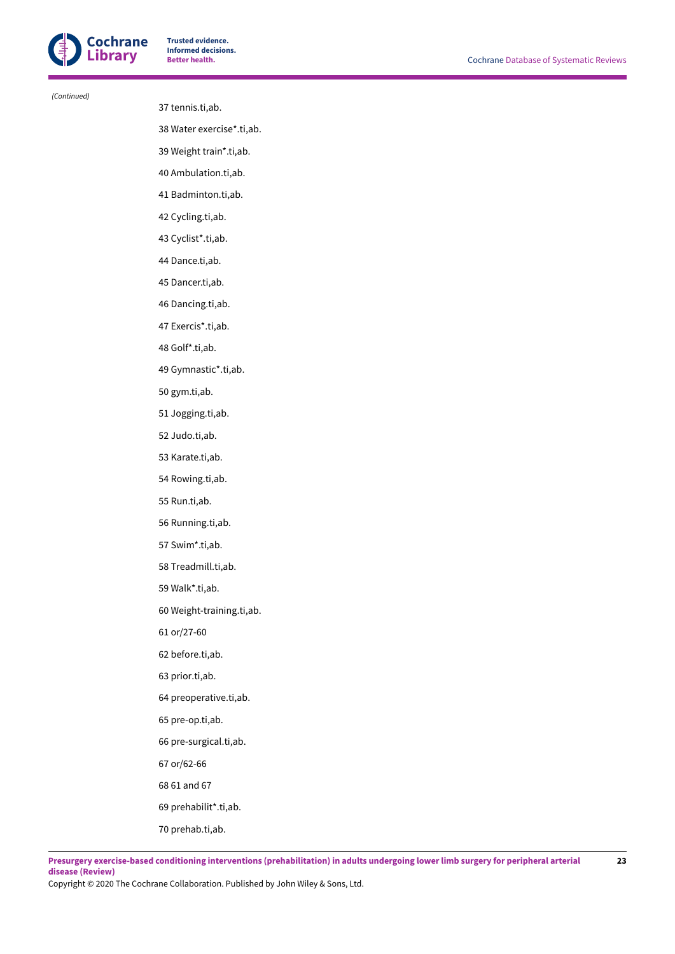

 *(Continued)*

#### 37 tennis.ti,ab.

38 Water exercise\*.ti,ab.

39 Weight train\*.ti,ab.

40 Ambulation.ti,ab.

41 Badminton.ti,ab.

42 Cycling.ti,ab.

43 Cyclist\*.ti,ab.

44 Dance.ti,ab.

45 Dancer.ti,ab.

46 Dancing.ti,ab.

47 Exercis\*.ti,ab.

48 Golf\*.ti,ab.

49 Gymnastic\*.ti,ab.

50 gym.ti,ab.

51 Jogging.ti,ab.

52 Judo.ti,ab.

53 Karate.ti,ab.

54 Rowing.ti,ab.

55 Run.ti,ab.

56 Running.ti,ab.

57 Swim\*.ti,ab.

58 Treadmill.ti,ab.

59 Walk\*.ti,ab.

60 Weight-training.ti,ab.

61 or/27-60

62 before.ti,ab.

63 prior.ti,ab.

64 preoperative.ti,ab.

65 pre-op.ti,ab.

66 pre-surgical.ti,ab.

67 or/62-66

68 61 and 67

69 prehabilit\*.ti,ab.

70 prehab.ti,ab.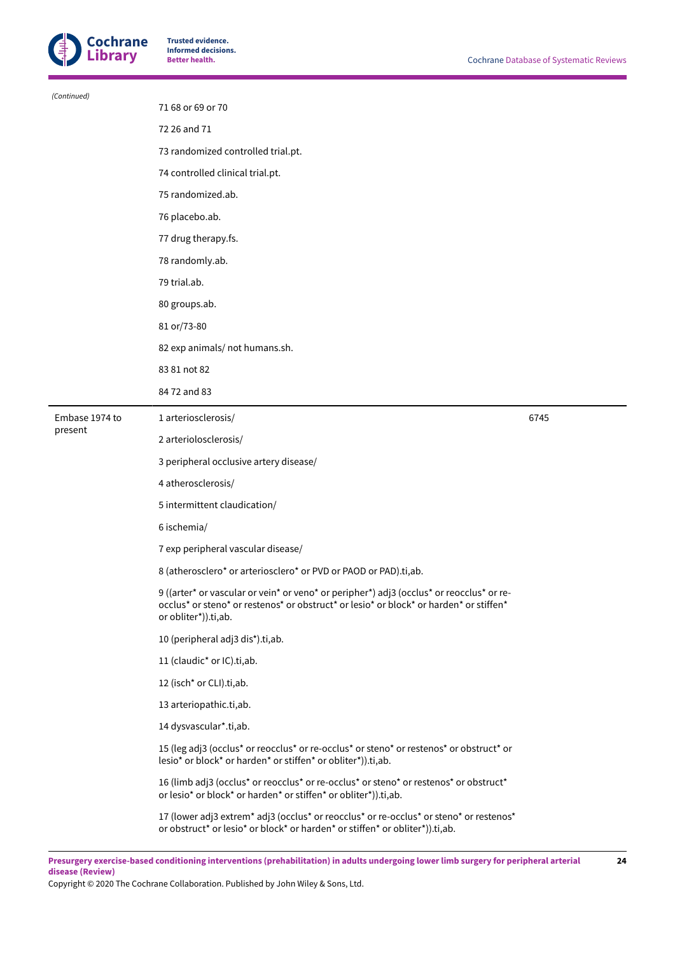

| (Continued)    |                                                                                                                                                                                                            |      |  |  |  |
|----------------|------------------------------------------------------------------------------------------------------------------------------------------------------------------------------------------------------------|------|--|--|--|
|                | 71 68 or 69 or 70                                                                                                                                                                                          |      |  |  |  |
|                | 72 26 and 71                                                                                                                                                                                               |      |  |  |  |
|                | 73 randomized controlled trial.pt.                                                                                                                                                                         |      |  |  |  |
|                | 74 controlled clinical trial.pt.                                                                                                                                                                           |      |  |  |  |
|                | 75 randomized.ab.                                                                                                                                                                                          |      |  |  |  |
|                | 76 placebo.ab.                                                                                                                                                                                             |      |  |  |  |
|                | 77 drug therapy.fs.                                                                                                                                                                                        |      |  |  |  |
|                | 78 randomly.ab.                                                                                                                                                                                            |      |  |  |  |
|                | 79 trial.ab.                                                                                                                                                                                               |      |  |  |  |
|                | 80 groups.ab.                                                                                                                                                                                              |      |  |  |  |
|                | 81 or/73-80                                                                                                                                                                                                |      |  |  |  |
|                | 82 exp animals/ not humans.sh.                                                                                                                                                                             |      |  |  |  |
|                | 83 81 not 82                                                                                                                                                                                               |      |  |  |  |
|                | 84 72 and 83                                                                                                                                                                                               |      |  |  |  |
| Embase 1974 to | 1 arteriosclerosis/                                                                                                                                                                                        | 6745 |  |  |  |
| present        | 2 arteriolosclerosis/                                                                                                                                                                                      |      |  |  |  |
|                | 3 peripheral occlusive artery disease/                                                                                                                                                                     |      |  |  |  |
|                | 4 atherosclerosis/                                                                                                                                                                                         |      |  |  |  |
|                | 5 intermittent claudication/                                                                                                                                                                               |      |  |  |  |
|                | 6 ischemia/                                                                                                                                                                                                |      |  |  |  |
|                | 7 exp peripheral vascular disease/                                                                                                                                                                         |      |  |  |  |
|                | 8 (atherosclero* or arteriosclero* or PVD or PAOD or PAD).ti,ab.                                                                                                                                           |      |  |  |  |
|                | 9 ((arter* or vascular or vein* or veno* or peripher*) adj3 (occlus* or reocclus* or re-<br>occlus* or steno* or restenos* or obstruct* or lesio* or block* or harden* or stiffen*<br>or obliter*)).ti,ab. |      |  |  |  |
|                | 10 (peripheral adj3 dis*).ti,ab.                                                                                                                                                                           |      |  |  |  |
|                | 11 (claudic <sup>*</sup> or IC).ti,ab.                                                                                                                                                                     |      |  |  |  |
|                | 12 (isch* or CLI).ti,ab.                                                                                                                                                                                   |      |  |  |  |
|                | 13 arteriopathic.ti,ab.                                                                                                                                                                                    |      |  |  |  |
|                | 14 dysvascular*.ti,ab.                                                                                                                                                                                     |      |  |  |  |
|                | 15 (leg adj3 (occlus* or reocclus* or re-occlus* or steno* or restenos* or obstruct* or<br>lesio* or block* or harden* or stiffen* or obliter*)).ti,ab.                                                    |      |  |  |  |
|                | 16 (limb adj3 (occlus* or reocclus* or re-occlus* or steno* or restenos* or obstruct*<br>or lesio* or block* or harden* or stiffen* or obliter*)).ti,ab.                                                   |      |  |  |  |
|                | 17 (lower adj3 extrem* adj3 (occlus* or reocclus* or re-occlus* or steno* or restenos*<br>or obstruct* or lesio* or block* or harden* or stiffen* or obliter*)).ti,ab.                                     |      |  |  |  |

Presurgery exercise-based conditioning interventions (prehabilitation) in adults undergoing lower limb surgery for peripheral arterial **disease (Review) 24**

Copyright © 2020 The Cochrane Collaboration. Published by John Wiley & Sons, Ltd.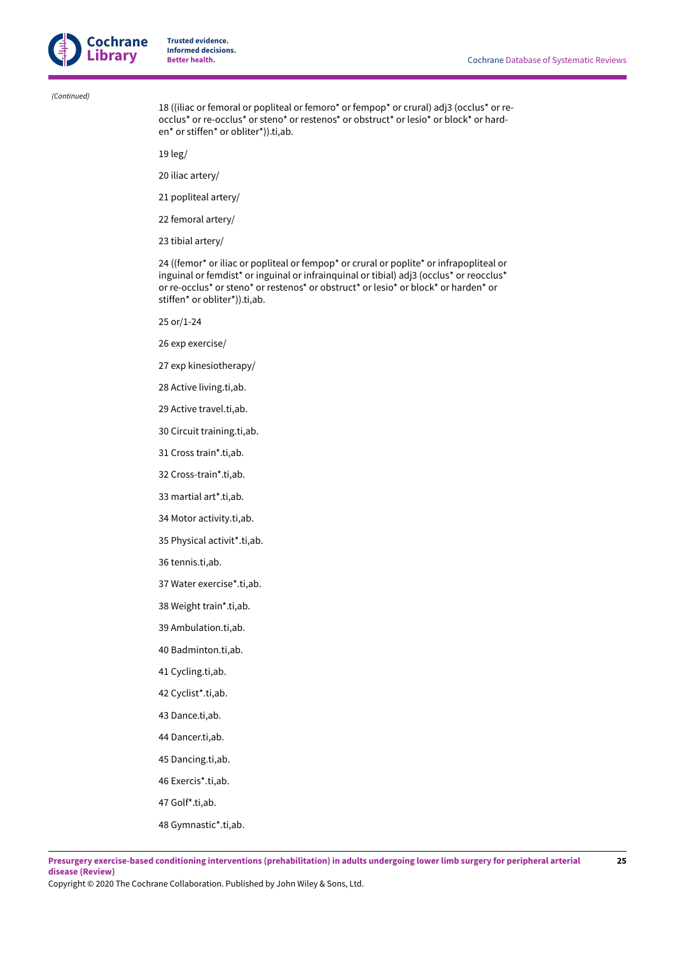

 *(Continued)*

18 ((iliac or femoral or popliteal or femoro\* or fempop\* or crural) adj3 (occlus\* or reocclus\* or re-occlus\* or steno\* or restenos\* or obstruct\* or lesio\* or block\* or harden\* or stiffen\* or obliter\*)).ti,ab.

19 leg/

- 20 iliac artery/
- 21 popliteal artery/
- 22 femoral artery/
- 23 tibial artery/

24 ((femor\* or iliac or popliteal or fempop\* or crural or poplite\* or infrapopliteal or inguinal or femdist\* or inguinal or infrainquinal or tibial) adj3 (occlus\* or reocclus\* or re-occlus\* or steno\* or restenos\* or obstruct\* or lesio\* or block\* or harden\* or stiffen\* or obliter\*)).ti,ab.

- 25 or/1-24
- 26 exp exercise/
- 27 exp kinesiotherapy/
- 28 Active living.ti,ab.
- 29 Active travel.ti,ab.
- 30 Circuit training.ti,ab.
- 31 Cross train\*.ti,ab.
- 32 Cross-train\*.ti,ab.
- 33 martial art\*.ti,ab.
- 34 Motor activity.ti,ab.
- 35 Physical activit\*.ti,ab.
- 36 tennis.ti,ab.
- 37 Water exercise\*.ti,ab.
- 38 Weight train\*.ti,ab.
- 39 Ambulation.ti,ab.
- 40 Badminton.ti,ab.
- 41 Cycling.ti,ab.
- 42 Cyclist\*.ti,ab.
- 43 Dance.ti,ab.
- 44 Dancer.ti,ab.
- 45 Dancing.ti,ab.
- 46 Exercis\*.ti,ab.
- 47 Golf\*.ti,ab.
- 48 Gymnastic\*.ti,ab.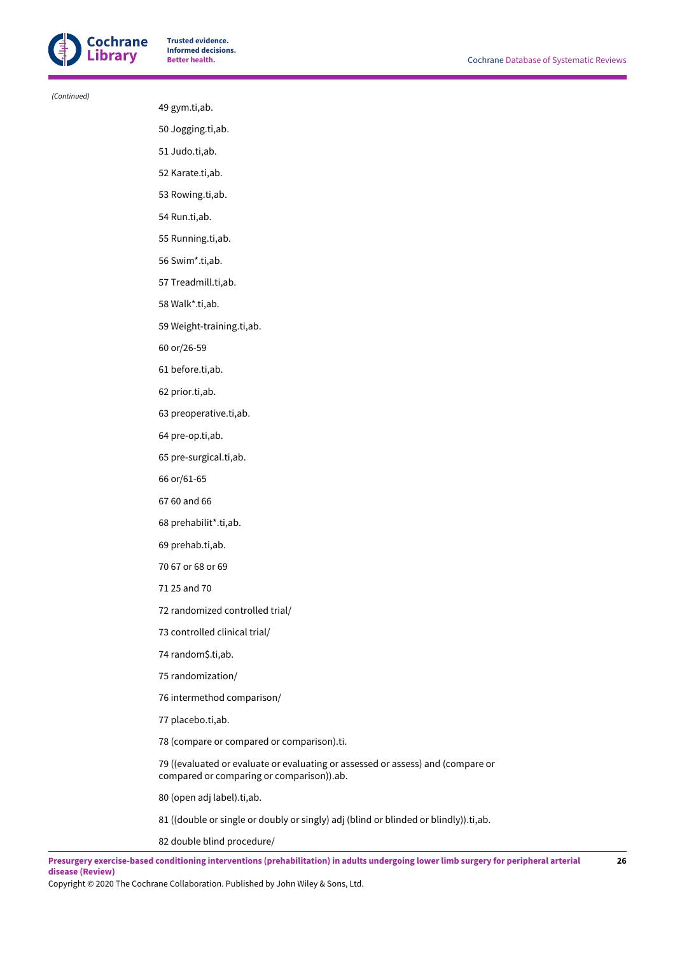

 *(Continued)*

#### 49 gym.ti,ab.

50 Jogging.ti,ab.

- 51 Judo.ti,ab.
- 52 Karate.ti,ab.
- 53 Rowing.ti,ab.
- 54 Run.ti,ab.
- 55 Running.ti,ab.
- 56 Swim\*.ti,ab.
- 57 Treadmill.ti,ab.
- 58 Walk\*.ti,ab.
- 59 Weight-training.ti,ab.
- 60 or/26-59
- 61 before.ti,ab.
- 62 prior.ti,ab.
- 63 preoperative.ti,ab.
- 64 pre-op.ti,ab.
- 65 pre-surgical.ti,ab.
- 66 or/61-65
- 67 60 and 66
- 68 prehabilit\*.ti,ab.
- 69 prehab.ti,ab.
- 70 67 or 68 or 69
- 71 25 and 70
- 72 randomized controlled trial/
- 73 controlled clinical trial/
- 74 random\$.ti,ab.
- 75 randomization/
- 76 intermethod comparison/
- 77 placebo.ti,ab.
- 78 (compare or compared or comparison).ti.

79 ((evaluated or evaluate or evaluating or assessed or assess) and (compare or compared or comparing or comparison)).ab.

80 (open adj label).ti,ab.

- 81 ((double or single or doubly or singly) adj (blind or blinded or blindly)).ti,ab.
- 82 double blind procedure/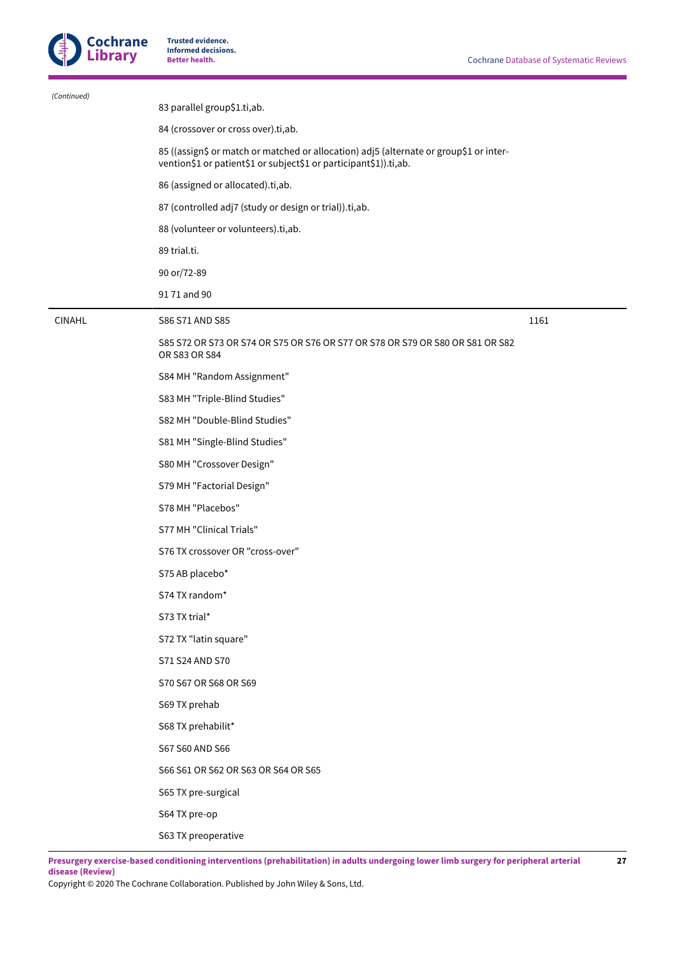

 $\overline{a}$ 

**Trusted evidence. Informed decisions.**

| (Continued)   |                                                                                                                                                             |      |
|---------------|-------------------------------------------------------------------------------------------------------------------------------------------------------------|------|
|               | 83 parallel group\$1.ti,ab.                                                                                                                                 |      |
|               | 84 (crossover or cross over).ti,ab.                                                                                                                         |      |
|               | 85 ((assign\$ or match or matched or allocation) adj5 (alternate or group\$1 or inter-<br>vention\$1 or patient\$1 or subject\$1 or participant\$1)).ti,ab. |      |
|               | 86 (assigned or allocated).ti,ab.                                                                                                                           |      |
|               | 87 (controlled adj7 (study or design or trial)).ti,ab.                                                                                                      |      |
|               | 88 (volunteer or volunteers).ti,ab.                                                                                                                         |      |
|               | 89 trial.ti.                                                                                                                                                |      |
|               | 90 or/72-89                                                                                                                                                 |      |
|               | 9171 and 90                                                                                                                                                 |      |
| <b>CINAHL</b> | S86 S71 AND S85                                                                                                                                             | 1161 |
|               | S85 S72 OR S73 OR S74 OR S75 OR S76 OR S77 OR S78 OR S79 OR S80 OR S81 OR S82<br>OR S83 OR S84                                                              |      |
|               | S84 MH "Random Assignment"                                                                                                                                  |      |
|               | S83 MH "Triple-Blind Studies"                                                                                                                               |      |
|               | S82 MH "Double-Blind Studies"                                                                                                                               |      |
|               | S81 MH "Single-Blind Studies"                                                                                                                               |      |
|               | S80 MH "Crossover Design"                                                                                                                                   |      |
|               | S79 MH "Factorial Design"                                                                                                                                   |      |
|               | S78 MH "Placebos"                                                                                                                                           |      |
|               | S77 MH "Clinical Trials"                                                                                                                                    |      |
|               | S76 TX crossover OR "cross-over"                                                                                                                            |      |
|               | S75 AB placebo*                                                                                                                                             |      |
|               | S74 TX random*                                                                                                                                              |      |
|               | S73 TX trial*                                                                                                                                               |      |
|               | S72 TX "latin square"                                                                                                                                       |      |
|               | S71 S24 AND S70                                                                                                                                             |      |
|               | S70 S67 OR S68 OR S69                                                                                                                                       |      |
|               | S69 TX prehab                                                                                                                                               |      |
|               | S68 TX prehabilit*                                                                                                                                          |      |
|               | S67 S60 AND S66                                                                                                                                             |      |
|               | S66 S61 OR S62 OR S63 OR S64 OR S65                                                                                                                         |      |
|               | S65 TX pre-surgical                                                                                                                                         |      |
|               | S64 TX pre-op                                                                                                                                               |      |
|               | S63 TX preoperative                                                                                                                                         |      |
|               |                                                                                                                                                             |      |

Presurgery exercise-based conditioning interventions (prehabilitation) in adults undergoing lower limb surgery for peripheral arterial **disease (Review)**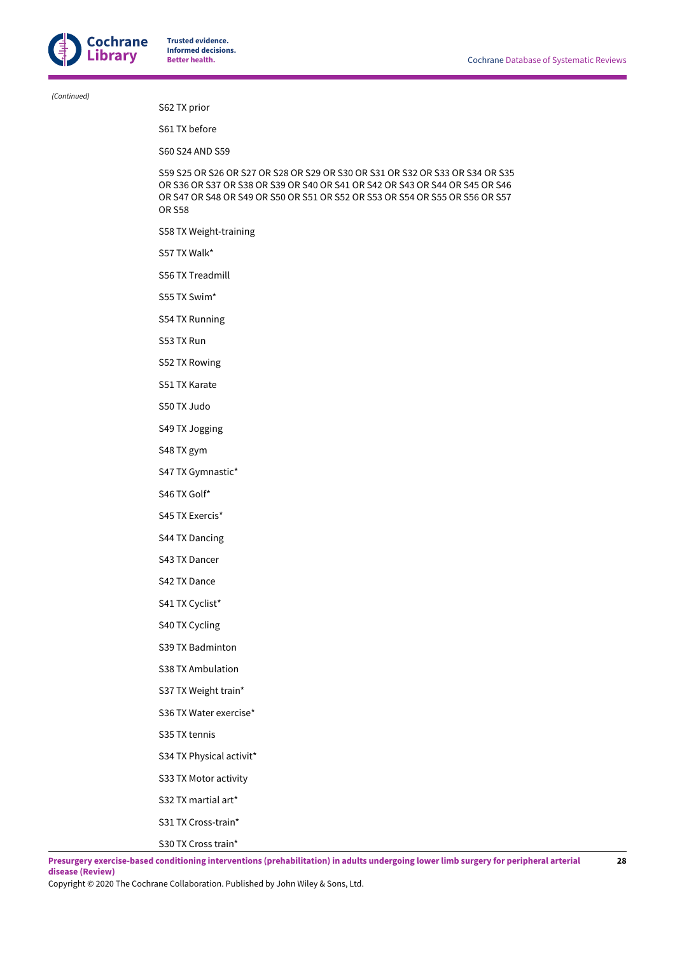*(Continued)*

S62 TX prior

S61 TX before

S60 S24 AND S59

S59 S25 OR S26 OR S27 OR S28 OR S29 OR S30 OR S31 OR S32 OR S33 OR S34 OR S35 OR S36 OR S37 OR S38 OR S39 OR S40 OR S41 OR S42 OR S43 OR S44 OR S45 OR S46 OR S47 OR S48 OR S49 OR S50 OR S51 OR S52 OR S53 OR S54 OR S55 OR S56 OR S57 OR S58

S58 TX Weight-training

S57 TX Walk\*

S56 TX Treadmill

S55 TX Swim\*

S54 TX Running

S53 TX Run

S52 TX Rowing

S51 TX Karate

S50 TX Judo

S49 TX Jogging

S48 TX gym

S47 TX Gymnastic\*

S46 TX Golf\*

S45 TX Exercis\*

S44 TX Dancing

S43 TX Dancer

S42 TX Dance

S41 TX Cyclist\*

S40 TX Cycling

S39 TX Badminton

S38 TX Ambulation

S37 TX Weight train\*

S36 TX Water exercise\*

S35 TX tennis

S34 TX Physical activit\*

S33 TX Motor activity

S32 TX martial art\*

S31 TX Cross-train\*

S30 TX Cross train\*

Presurgery exercise-based conditioning interventions (prehabilitation) in adults undergoing lower limb surgery for peripheral arterial **disease (Review)**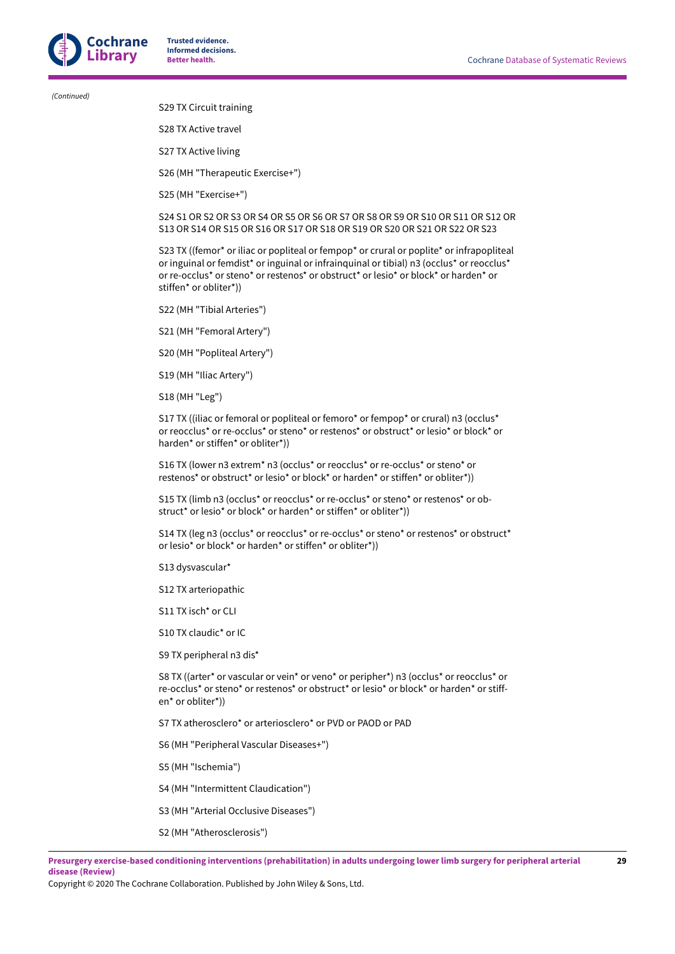*(Continued)*

S29 TX Circuit training

S28 TX Active travel

S27 TX Active living

S26 (MH "Therapeutic Exercise+")

S25 (MH "Exercise+")

S24 S1 OR S2 OR S3 OR S4 OR S5 OR S6 OR S7 OR S8 OR S9 OR S10 OR S11 OR S12 OR S13 OR S14 OR S15 OR S16 OR S17 OR S18 OR S19 OR S20 OR S21 OR S22 OR S23

S23 TX ((femor<sup>\*</sup> or iliac or popliteal or fempop<sup>\*</sup> or crural or poplite<sup>\*</sup> or infrapopliteal or inguinal or femdist\* or inguinal or infrainquinal or tibial) n3 (occlus\* or reocclus\* or re-occlus\* or steno\* or restenos\* or obstruct\* or lesio\* or block\* or harden\* or stiffen\* or obliter\*))

S22 (MH "Tibial Arteries")

S21 (MH "Femoral Artery")

S20 (MH "Popliteal Artery")

S19 (MH "Iliac Artery")

S18 (MH "Leg")

S17 TX ((iliac or femoral or popliteal or femoro\* or fempop\* or crural) n3 (occlus\* or reocclus\* or re-occlus\* or steno\* or restenos\* or obstruct\* or lesio\* or block\* or harden\* or stiffen\* or obliter\*))

S16 TX (lower n3 extrem\* n3 (occlus\* or reocclus\* or re-occlus\* or steno\* or restenos\* or obstruct\* or lesio\* or block\* or harden\* or stiffen\* or obliter\*))

S15 TX (limb n3 (occlus\* or reocclus\* or re-occlus\* or steno\* or restenos\* or obstruct\* or lesio\* or block\* or harden\* or stiffen\* or obliter\*))

S14 TX (leg n3 (occlus\* or reocclus\* or re-occlus\* or steno\* or restenos\* or obstruct\* or lesio\* or block\* or harden\* or stiffen\* or obliter\*))

S13 dysvascular\*

S12 TX arteriopathic

S11 TX isch\* or CLI

S10 TX claudic\* or IC

S9 TX peripheral n3 dis\*

S8 TX ((arter\* or vascular or vein\* or veno\* or peripher\*) n3 (occlus\* or reocclus\* or re-occlus\* or steno\* or restenos\* or obstruct\* or lesio\* or block\* or harden\* or stiffen\* or obliter\*))

S7 TX atherosclero\* or arteriosclero\* or PVD or PAOD or PAD

S6 (MH "Peripheral Vascular Diseases+")

S5 (MH "Ischemia")

S4 (MH "Intermittent Claudication")

S3 (MH "Arterial Occlusive Diseases")

S2 (MH "Atherosclerosis")